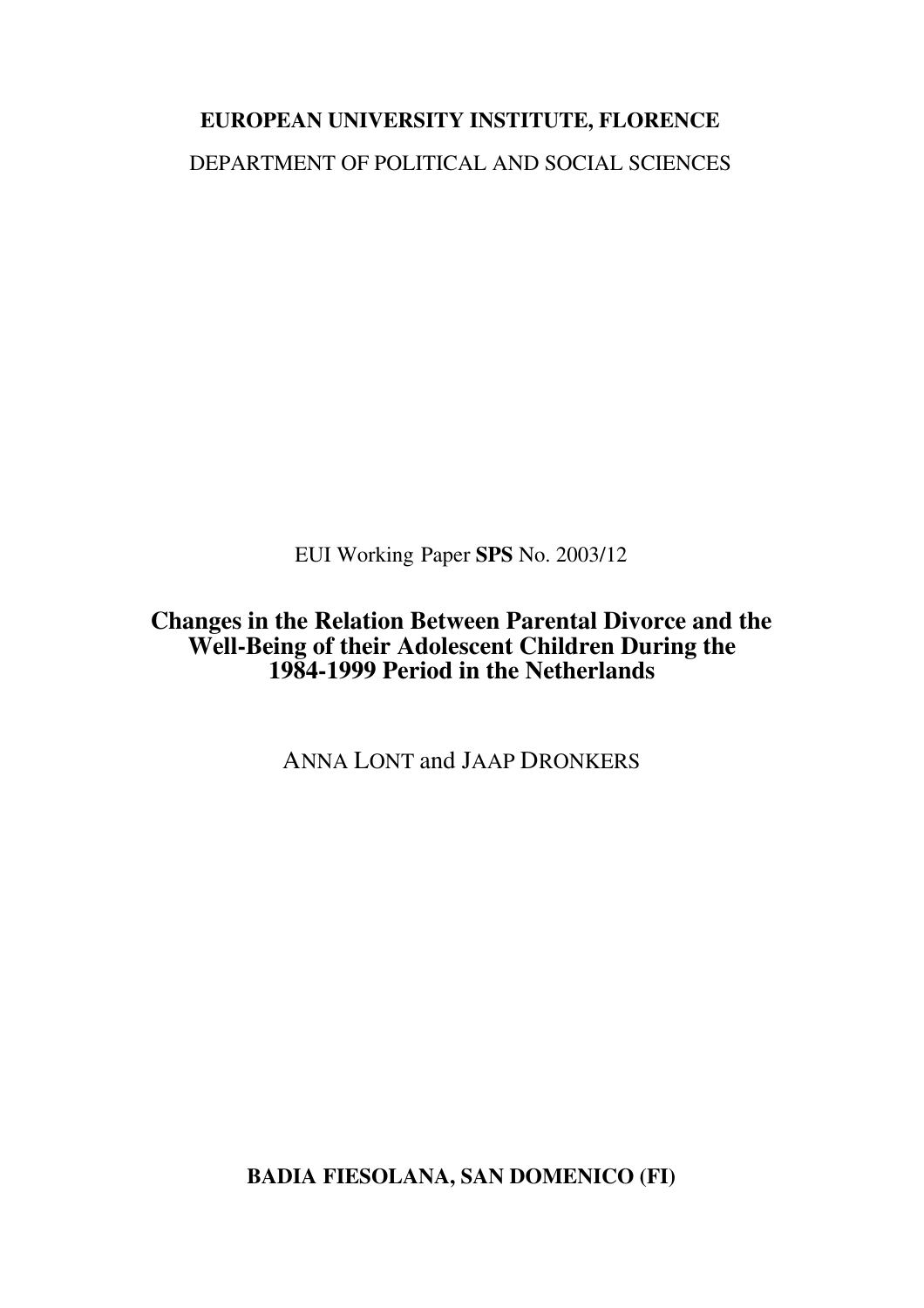# **EUROPEAN UNIVERSITY INSTITUTE, FLORENCE** DEPARTMENT OF POLITICAL AND SOCIAL SCIENCES

EUI Working Paper **SPS** No. 2003/12

### **Changes in the Relation Between Parental Divorce and the Well-Being of their Adolescent Children During the 1984-1999 Period in the Netherlands**

ANNA LONT and JAAP DRONKERS

**BADIA FIESOLANA, SAN DOMENICO (FI)**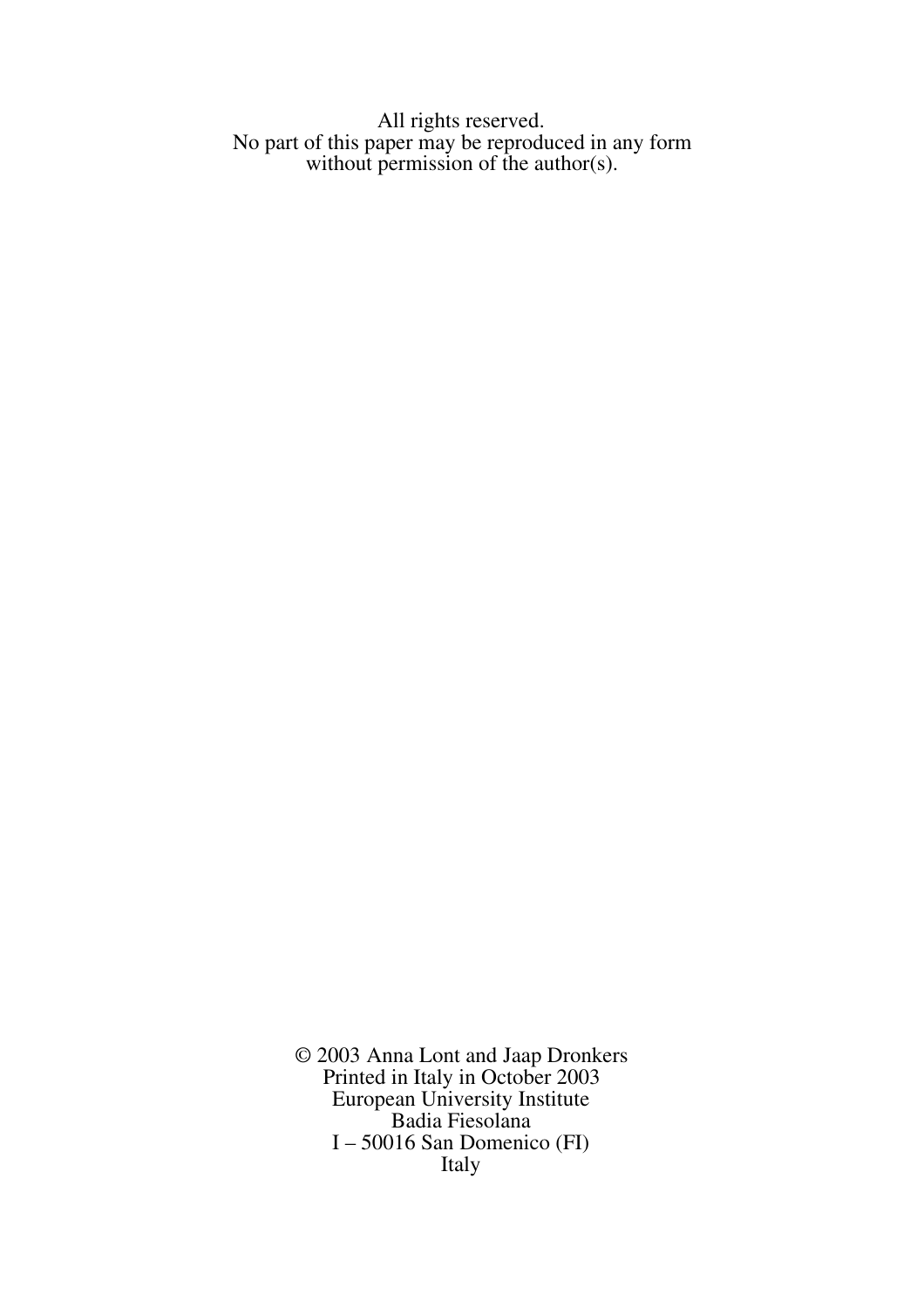All rights reserved. No part of this paper may be reproduced in any form without permission of the author(s).

> © 2003 Anna Lont and Jaap Dronkers Printed in Italy in October 2003 European University Institute Badia Fiesolana I – 50016 San Domenico (FI) Italy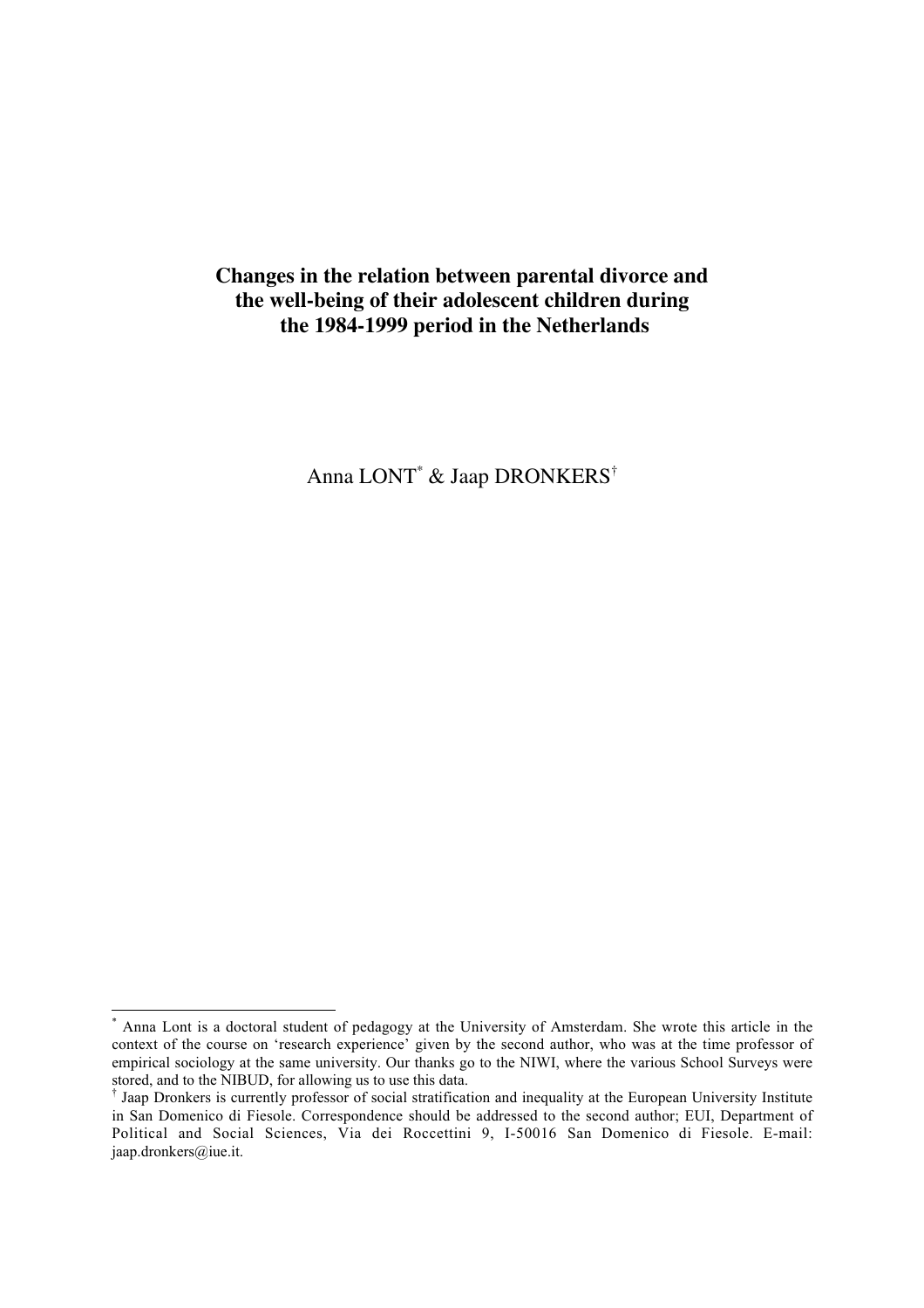### **Changes in the relation between parental divorce and the well-being of their adolescent children during the 1984-1999 period in the Netherlands**

Anna LONT\* & Jaap DRONKERS†

 $\overline{a}$ 

Anna Lont is a doctoral student of pedagogy at the University of Amsterdam. She wrote this article in the context of the course on 'research experience' given by the second author, who was at the time professor of empirical sociology at the same university. Our thanks go to the NIWI, where the various School Surveys were stored, and to the NIBUD, for allowing us to use this data.

<sup>†</sup> Jaap Dronkers is currently professor of social stratification and inequality at the European University Institute in San Domenico di Fiesole. Correspondence should be addressed to the second author; EUI, Department of Political and Social Sciences, Via dei Roccettini 9, I-50016 San Domenico di Fiesole. E-mail: jaap.dronkers@iue.it.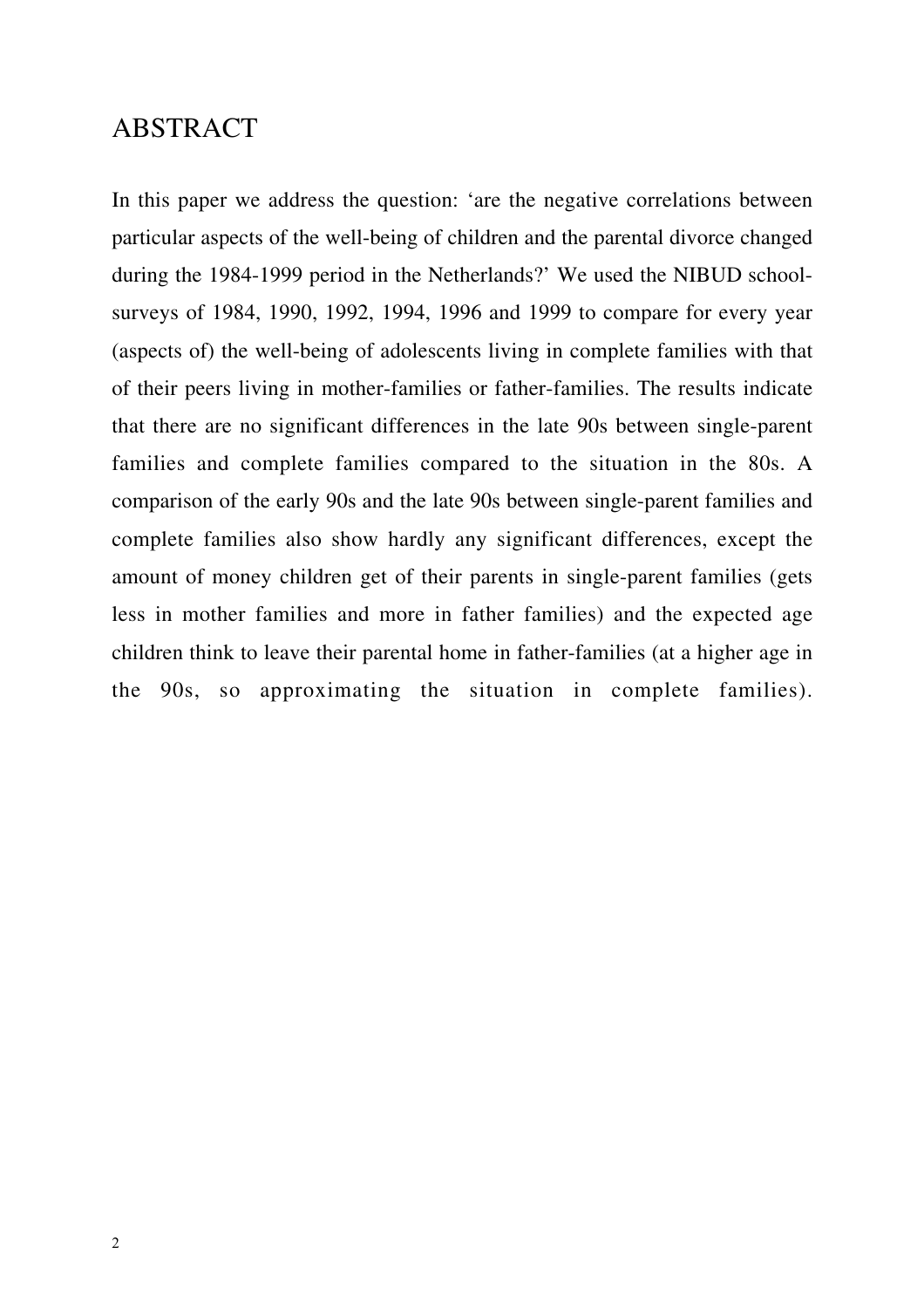### ABSTRACT

In this paper we address the question: 'are the negative correlations between particular aspects of the well-being of children and the parental divorce changed during the 1984-1999 period in the Netherlands?' We used the NIBUD schoolsurveys of 1984, 1990, 1992, 1994, 1996 and 1999 to compare for every year (aspects of) the well-being of adolescents living in complete families with that of their peers living in mother-families or father-families. The results indicate that there are no significant differences in the late 90s between single-parent families and complete families compared to the situation in the 80s. A comparison of the early 90s and the late 90s between single-parent families and complete families also show hardly any significant differences, except the amount of money children get of their parents in single-parent families (gets less in mother families and more in father families) and the expected age children think to leave their parental home in father-families (at a higher age in the 90s, so approximating the situation in complete families).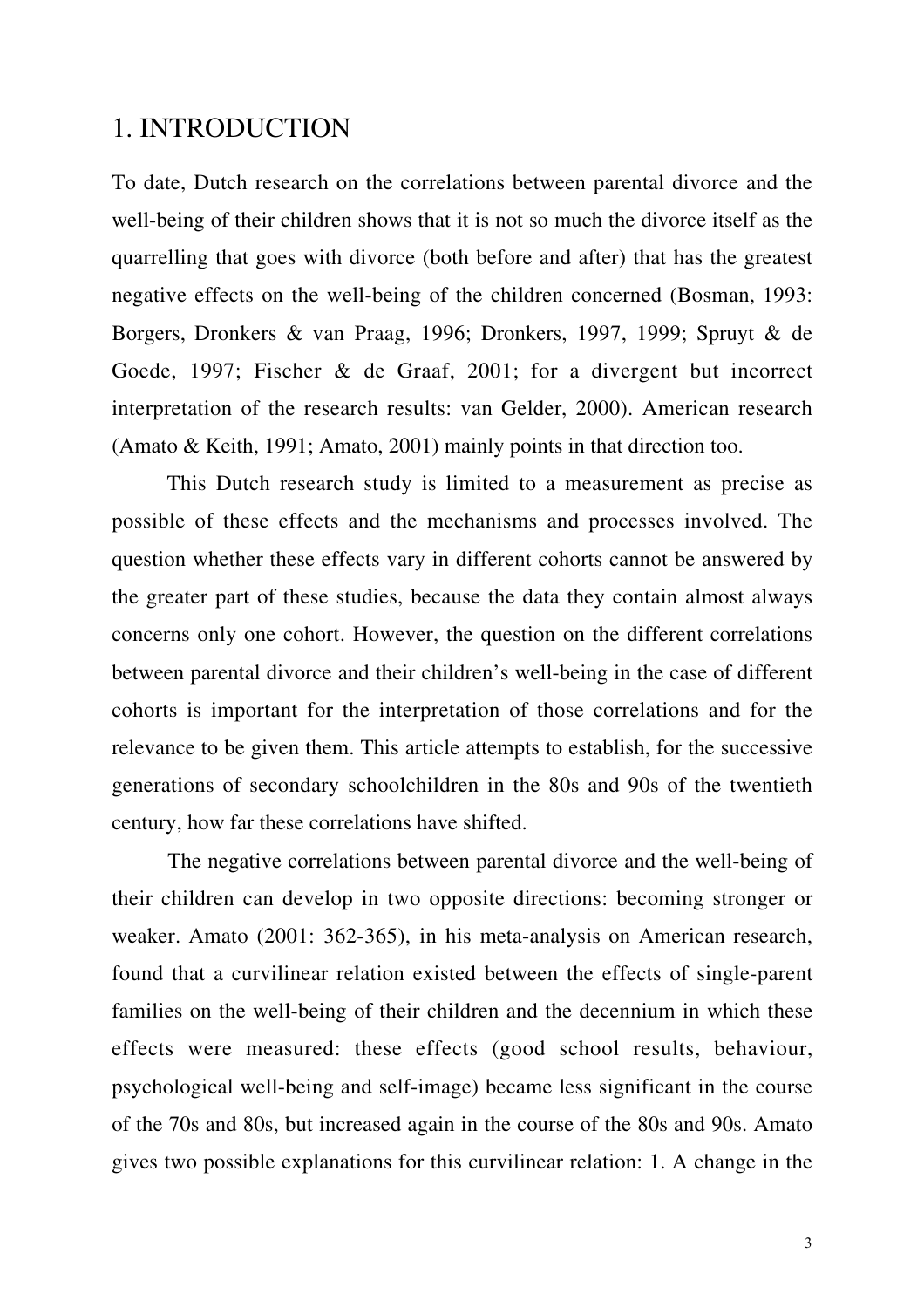### 1. INTRODUCTION

To date, Dutch research on the correlations between parental divorce and the well-being of their children shows that it is not so much the divorce itself as the quarrelling that goes with divorce (both before and after) that has the greatest negative effects on the well-being of the children concerned (Bosman, 1993: Borgers, Dronkers & van Praag, 1996; Dronkers, 1997, 1999; Spruyt & de Goede, 1997; Fischer & de Graaf, 2001; for a divergent but incorrect interpretation of the research results: van Gelder, 2000). American research (Amato & Keith, 1991; Amato, 2001) mainly points in that direction too.

This Dutch research study is limited to a measurement as precise as possible of these effects and the mechanisms and processes involved. The question whether these effects vary in different cohorts cannot be answered by the greater part of these studies, because the data they contain almost always concerns only one cohort. However, the question on the different correlations between parental divorce and their children's well-being in the case of different cohorts is important for the interpretation of those correlations and for the relevance to be given them. This article attempts to establish, for the successive generations of secondary schoolchildren in the 80s and 90s of the twentieth century, how far these correlations have shifted.

The negative correlations between parental divorce and the well-being of their children can develop in two opposite directions: becoming stronger or weaker. Amato (2001: 362-365), in his meta-analysis on American research, found that a curvilinear relation existed between the effects of single-parent families on the well-being of their children and the decennium in which these effects were measured: these effects (good school results, behaviour, psychological well-being and self-image) became less significant in the course of the 70s and 80s, but increased again in the course of the 80s and 90s. Amato gives two possible explanations for this curvilinear relation: 1. A change in the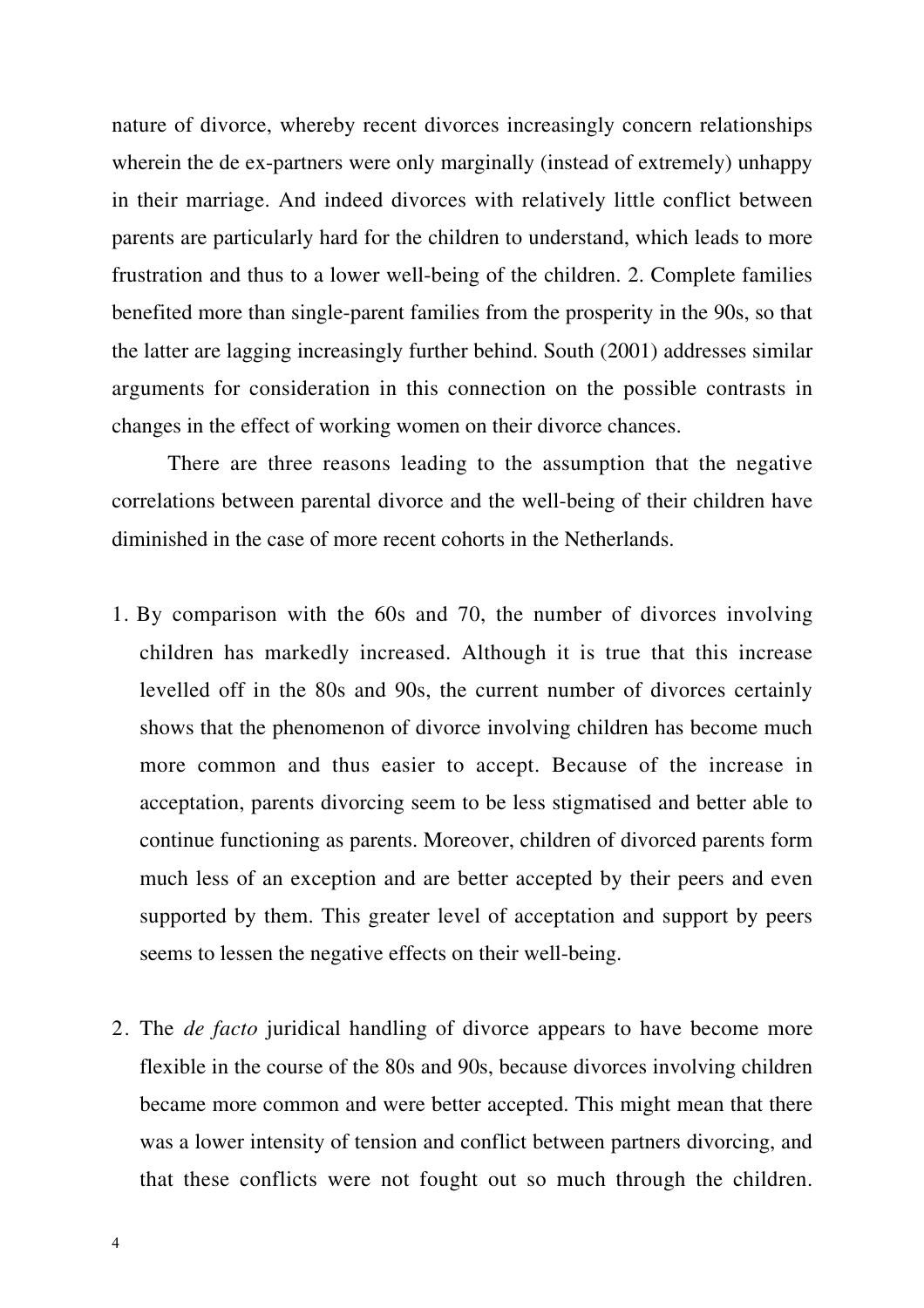nature of divorce, whereby recent divorces increasingly concern relationships wherein the de ex-partners were only marginally (instead of extremely) unhappy in their marriage. And indeed divorces with relatively little conflict between parents are particularly hard for the children to understand, which leads to more frustration and thus to a lower well-being of the children. 2. Complete families benefited more than single-parent families from the prosperity in the 90s, so that the latter are lagging increasingly further behind. South (2001) addresses similar arguments for consideration in this connection on the possible contrasts in changes in the effect of working women on their divorce chances.

There are three reasons leading to the assumption that the negative correlations between parental divorce and the well-being of their children have diminished in the case of more recent cohorts in the Netherlands.

- 1. By comparison with the 60s and 70, the number of divorces involving children has markedly increased. Although it is true that this increase levelled off in the 80s and 90s, the current number of divorces certainly shows that the phenomenon of divorce involving children has become much more common and thus easier to accept. Because of the increase in acceptation, parents divorcing seem to be less stigmatised and better able to continue functioning as parents. Moreover, children of divorced parents form much less of an exception and are better accepted by their peers and even supported by them. This greater level of acceptation and support by peers seems to lessen the negative effects on their well-being.
- 2. The *de facto* juridical handling of divorce appears to have become more flexible in the course of the 80s and 90s, because divorces involving children became more common and were better accepted. This might mean that there was a lower intensity of tension and conflict between partners divorcing, and that these conflicts were not fought out so much through the children.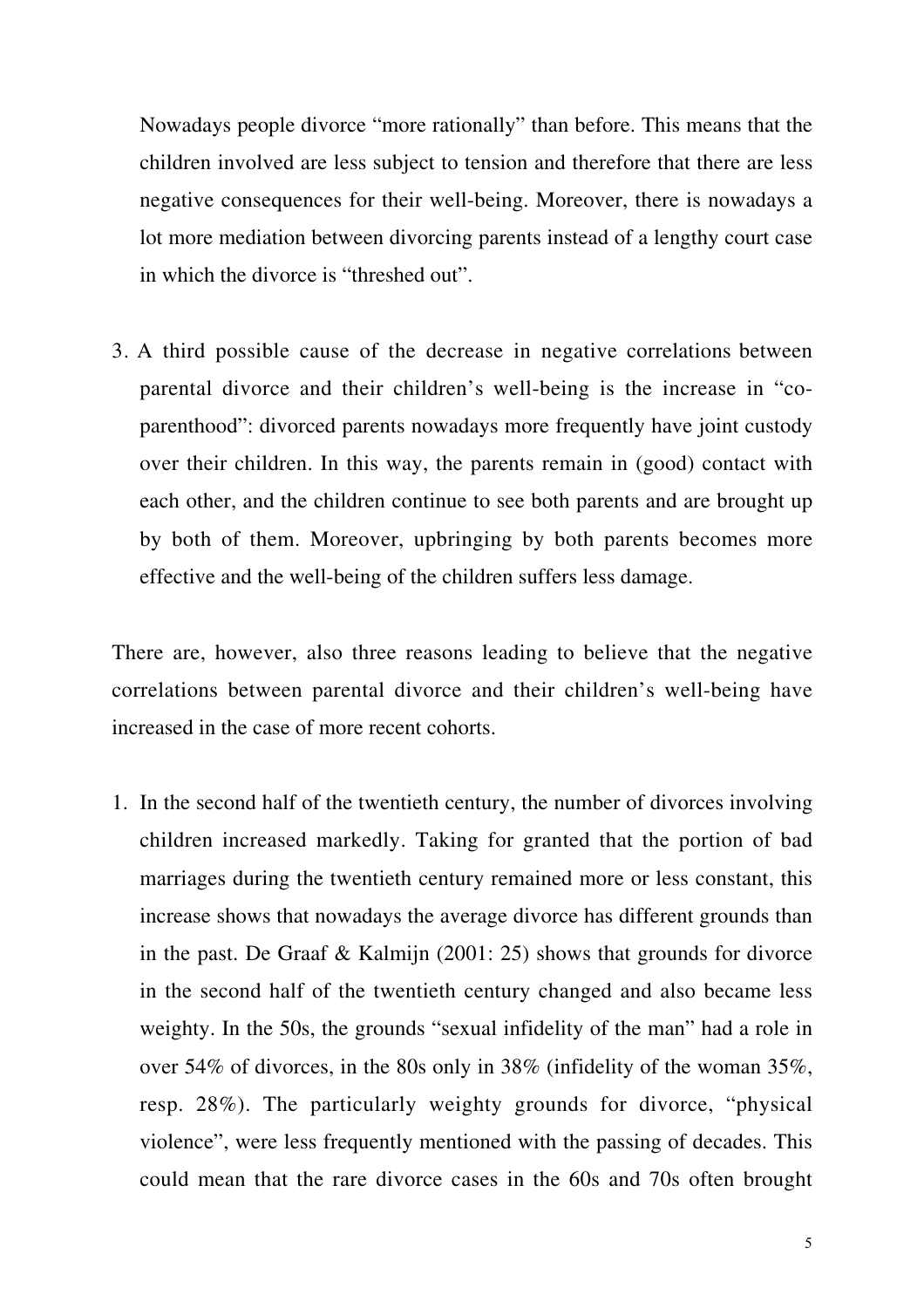Nowadays people divorce "more rationally" than before. This means that the children involved are less subject to tension and therefore that there are less negative consequences for their well-being. Moreover, there is nowadays a lot more mediation between divorcing parents instead of a lengthy court case in which the divorce is "threshed out".

3. A third possible cause of the decrease in negative correlations between parental divorce and their children's well-being is the increase in "coparenthood": divorced parents nowadays more frequently have joint custody over their children. In this way, the parents remain in (good) contact with each other, and the children continue to see both parents and are brought up by both of them. Moreover, upbringing by both parents becomes more effective and the well-being of the children suffers less damage.

There are, however, also three reasons leading to believe that the negative correlations between parental divorce and their children's well-being have increased in the case of more recent cohorts.

1. In the second half of the twentieth century, the number of divorces involving children increased markedly. Taking for granted that the portion of bad marriages during the twentieth century remained more or less constant, this increase shows that nowadays the average divorce has different grounds than in the past. De Graaf & Kalmijn (2001: 25) shows that grounds for divorce in the second half of the twentieth century changed and also became less weighty. In the 50s, the grounds "sexual infidelity of the man" had a role in over 54% of divorces, in the 80s only in 38% (infidelity of the woman 35%, resp. 28%). The particularly weighty grounds for divorce, "physical violence", were less frequently mentioned with the passing of decades. This could mean that the rare divorce cases in the 60s and 70s often brought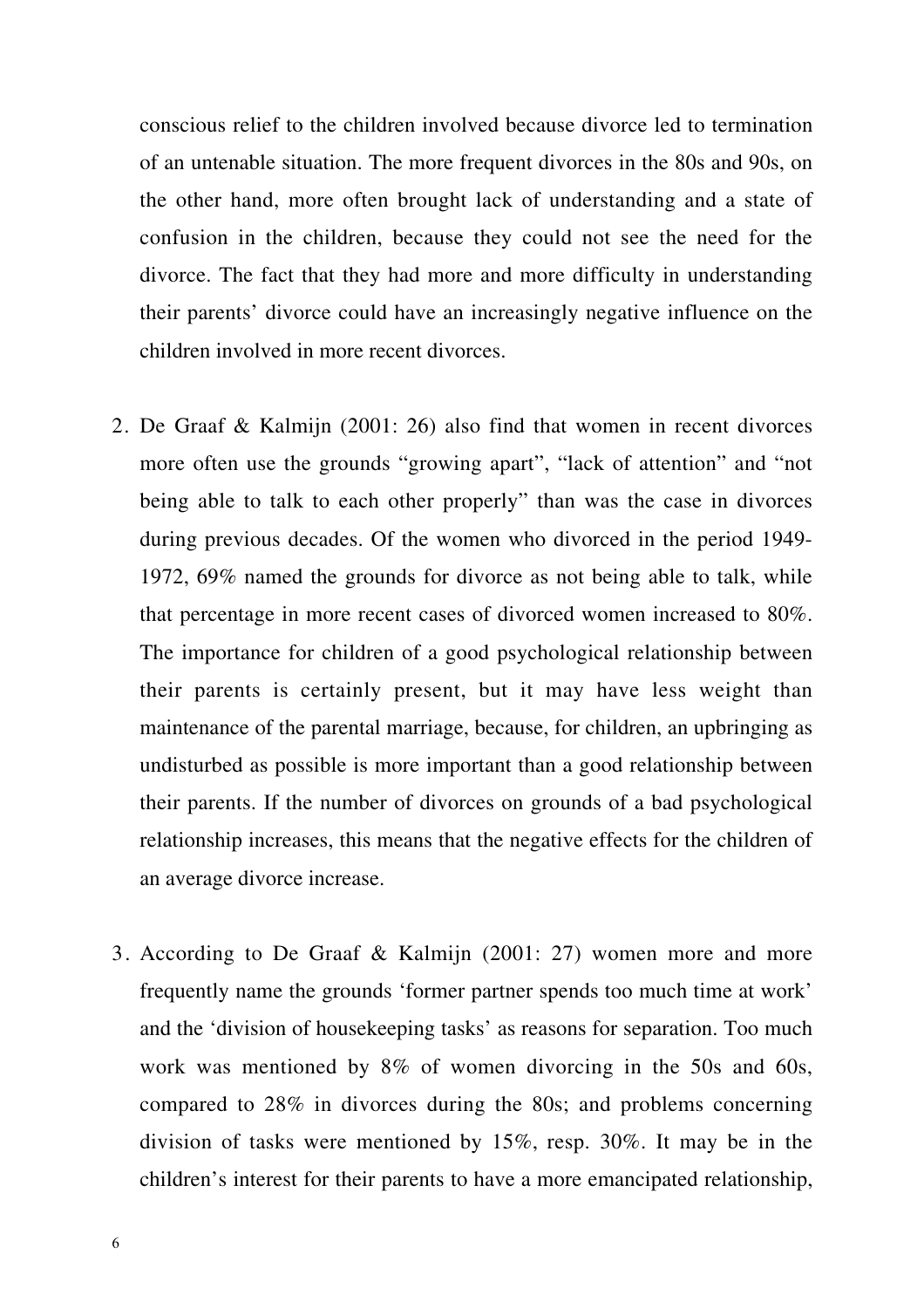conscious relief to the children involved because divorce led to termination of an untenable situation. The more frequent divorces in the 80s and 90s, on the other hand, more often brought lack of understanding and a state of confusion in the children, because they could not see the need for the divorce. The fact that they had more and more difficulty in understanding their parents' divorce could have an increasingly negative influence on the children involved in more recent divorces.

- 2. De Graaf & Kalmijn (2001: 26) also find that women in recent divorces more often use the grounds "growing apart", "lack of attention" and "not being able to talk to each other properly" than was the case in divorces during previous decades. Of the women who divorced in the period 1949- 1972, 69% named the grounds for divorce as not being able to talk, while that percentage in more recent cases of divorced women increased to 80%. The importance for children of a good psychological relationship between their parents is certainly present, but it may have less weight than maintenance of the parental marriage, because, for children, an upbringing as undisturbed as possible is more important than a good relationship between their parents. If the number of divorces on grounds of a bad psychological relationship increases, this means that the negative effects for the children of an average divorce increase.
- 3. According to De Graaf & Kalmijn (2001: 27) women more and more frequently name the grounds 'former partner spends too much time at work' and the 'division of housekeeping tasks' as reasons for separation. Too much work was mentioned by 8% of women divorcing in the 50s and 60s, compared to 28% in divorces during the 80s; and problems concerning division of tasks were mentioned by 15%, resp. 30%. It may be in the children's interest for their parents to have a more emancipated relationship,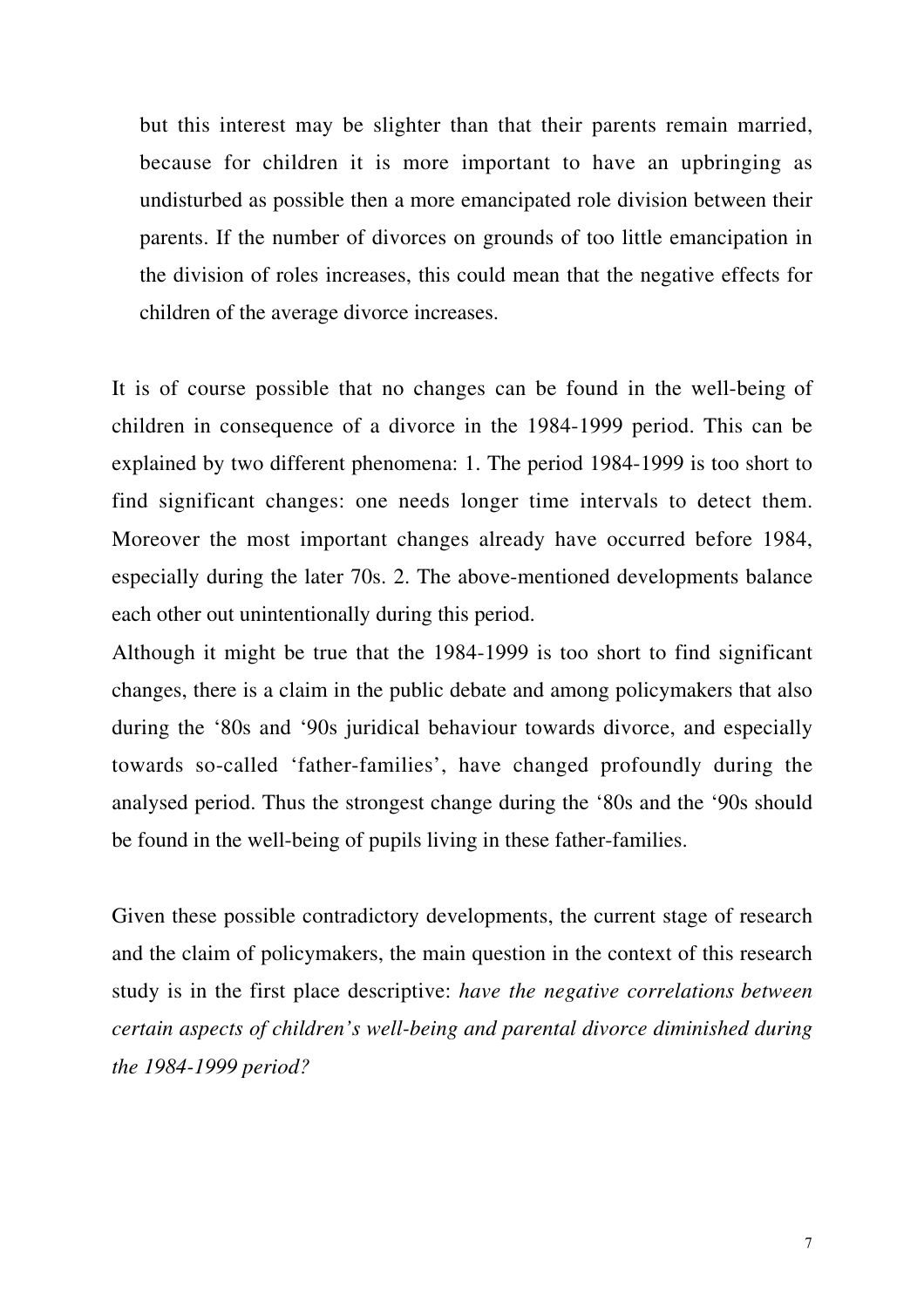but this interest may be slighter than that their parents remain married, because for children it is more important to have an upbringing as undisturbed as possible then a more emancipated role division between their parents. If the number of divorces on grounds of too little emancipation in the division of roles increases, this could mean that the negative effects for children of the average divorce increases.

It is of course possible that no changes can be found in the well-being of children in consequence of a divorce in the 1984-1999 period. This can be explained by two different phenomena: 1. The period 1984-1999 is too short to find significant changes: one needs longer time intervals to detect them. Moreover the most important changes already have occurred before 1984, especially during the later 70s. 2. The above-mentioned developments balance each other out unintentionally during this period.

Although it might be true that the 1984-1999 is too short to find significant changes, there is a claim in the public debate and among policymakers that also during the '80s and '90s juridical behaviour towards divorce, and especially towards so-called 'father-families', have changed profoundly during the analysed period. Thus the strongest change during the '80s and the '90s should be found in the well-being of pupils living in these father-families.

Given these possible contradictory developments, the current stage of research and the claim of policymakers, the main question in the context of this research study is in the first place descriptive: *have the negative correlations between certain aspects of children's well-being and parental divorce diminished during the 1984-1999 period?*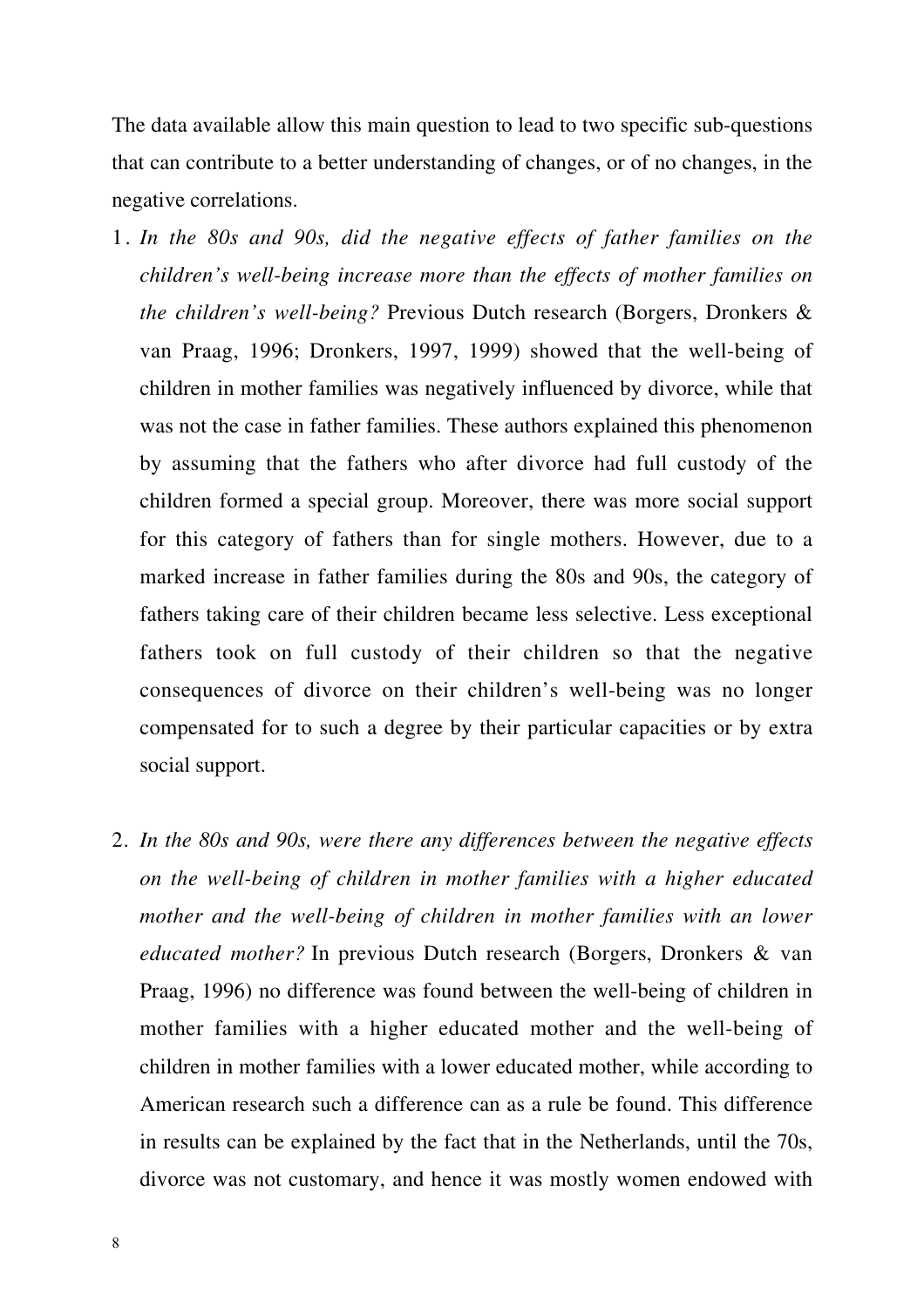The data available allow this main question to lead to two specific sub-questions that can contribute to a better understanding of changes, or of no changes, in the negative correlations.

- 1. *In the 80s and 90s, did the negative effects of father families on the children's well-being increase more than the effects of mother families on the children's well-being?* Previous Dutch research (Borgers, Dronkers & van Praag, 1996; Dronkers, 1997, 1999) showed that the well-being of children in mother families was negatively influenced by divorce, while that was not the case in father families. These authors explained this phenomenon by assuming that the fathers who after divorce had full custody of the children formed a special group. Moreover, there was more social support for this category of fathers than for single mothers. However, due to a marked increase in father families during the 80s and 90s, the category of fathers taking care of their children became less selective. Less exceptional fathers took on full custody of their children so that the negative consequences of divorce on their children's well-being was no longer compensated for to such a degree by their particular capacities or by extra social support.
- 2. *In the 80s and 90s, were there any differences between the negative effects on the well-being of children in mother families with a higher educated mother and the well-being of children in mother families with an lower educated mother?* In previous Dutch research (Borgers, Dronkers & van Praag, 1996) no difference was found between the well-being of children in mother families with a higher educated mother and the well-being of children in mother families with a lower educated mother, while according to American research such a difference can as a rule be found. This difference in results can be explained by the fact that in the Netherlands, until the 70s, divorce was not customary, and hence it was mostly women endowed with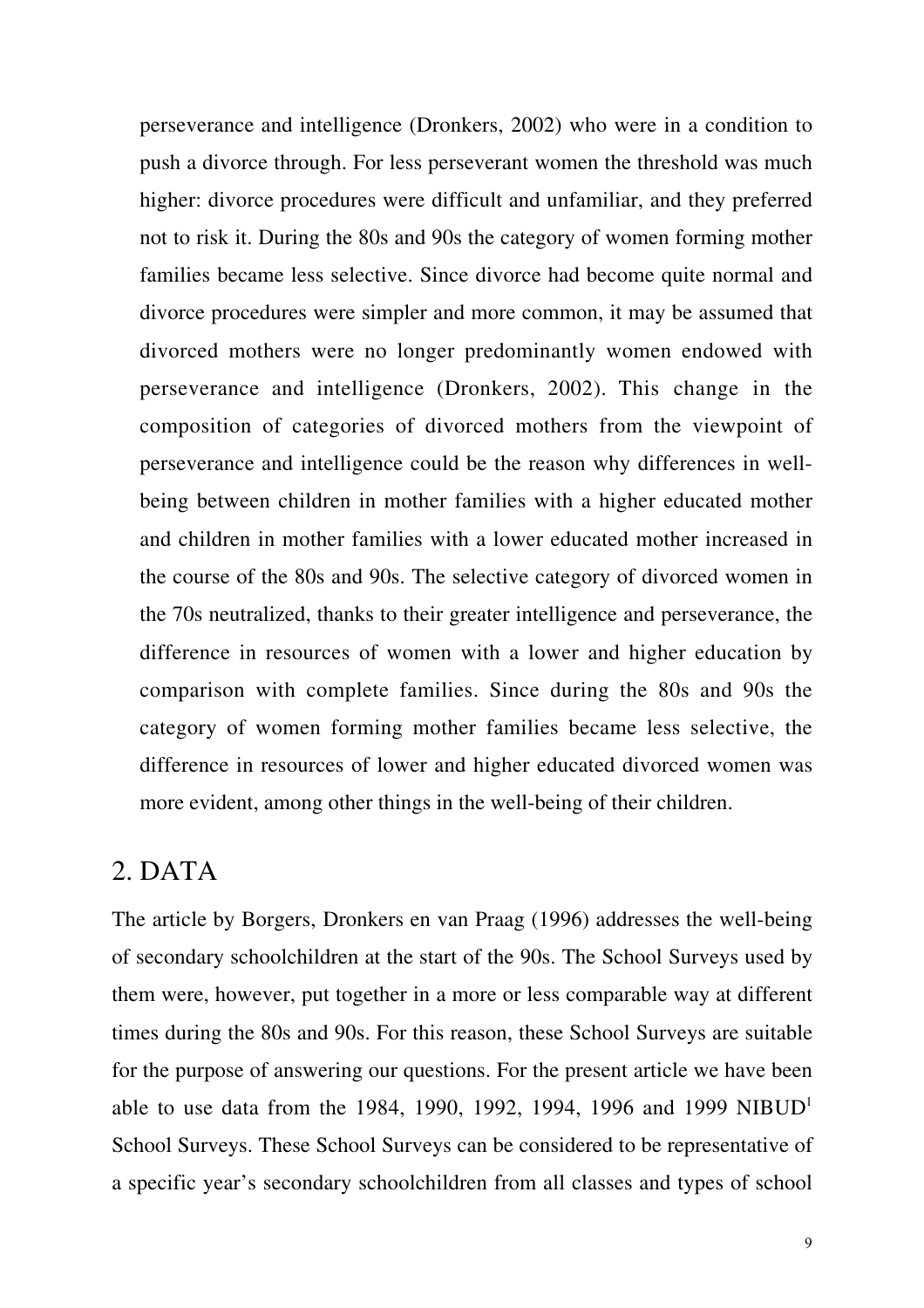perseverance and intelligence (Dronkers, 2002) who were in a condition to push a divorce through. For less perseverant women the threshold was much higher: divorce procedures were difficult and unfamiliar, and they preferred not to risk it. During the 80s and 90s the category of women forming mother families became less selective. Since divorce had become quite normal and divorce procedures were simpler and more common, it may be assumed that divorced mothers were no longer predominantly women endowed with perseverance and intelligence (Dronkers, 2002). This change in the composition of categories of divorced mothers from the viewpoint of perseverance and intelligence could be the reason why differences in wellbeing between children in mother families with a higher educated mother and children in mother families with a lower educated mother increased in the course of the 80s and 90s. The selective category of divorced women in the 70s neutralized, thanks to their greater intelligence and perseverance, the difference in resources of women with a lower and higher education by comparison with complete families. Since during the 80s and 90s the category of women forming mother families became less selective, the difference in resources of lower and higher educated divorced women was more evident, among other things in the well-being of their children.

## 2. DATA

The article by Borgers, Dronkers en van Praag (1996) addresses the well-being of secondary schoolchildren at the start of the 90s. The School Surveys used by them were, however, put together in a more or less comparable way at different times during the 80s and 90s. For this reason, these School Surveys are suitable for the purpose of answering our questions. For the present article we have been able to use data from the 1984, 1990, 1992, 1994, 1996 and 1999 NIBUD<sup>1</sup> School Surveys. These School Surveys can be considered to be representative of a specific year's secondary schoolchildren from all classes and types of school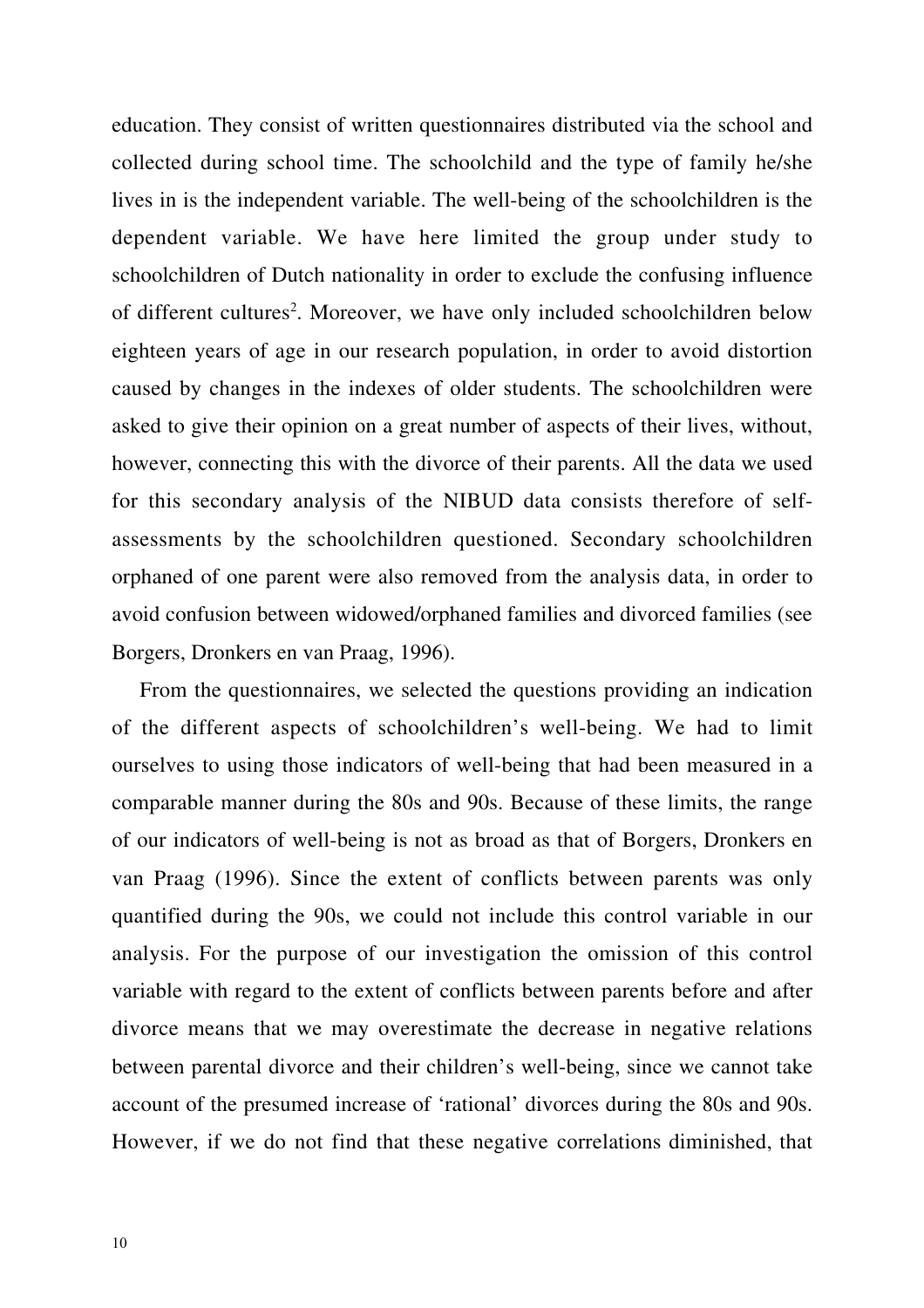education. They consist of written questionnaires distributed via the school and collected during school time. The schoolchild and the type of family he/she lives in is the independent variable. The well-being of the schoolchildren is the dependent variable. We have here limited the group under study to schoolchildren of Dutch nationality in order to exclude the confusing influence of different cultures<sup>2</sup>. Moreover, we have only included schoolchildren below eighteen years of age in our research population, in order to avoid distortion caused by changes in the indexes of older students. The schoolchildren were asked to give their opinion on a great number of aspects of their lives, without, however, connecting this with the divorce of their parents. All the data we used for this secondary analysis of the NIBUD data consists therefore of selfassessments by the schoolchildren questioned. Secondary schoolchildren orphaned of one parent were also removed from the analysis data, in order to avoid confusion between widowed/orphaned families and divorced families (see Borgers, Dronkers en van Praag, 1996).

From the questionnaires, we selected the questions providing an indication of the different aspects of schoolchildren's well-being. We had to limit ourselves to using those indicators of well-being that had been measured in a comparable manner during the 80s and 90s. Because of these limits, the range of our indicators of well-being is not as broad as that of Borgers, Dronkers en van Praag (1996). Since the extent of conflicts between parents was only quantified during the 90s, we could not include this control variable in our analysis. For the purpose of our investigation the omission of this control variable with regard to the extent of conflicts between parents before and after divorce means that we may overestimate the decrease in negative relations between parental divorce and their children's well-being, since we cannot take account of the presumed increase of 'rational' divorces during the 80s and 90s. However, if we do not find that these negative correlations diminished, that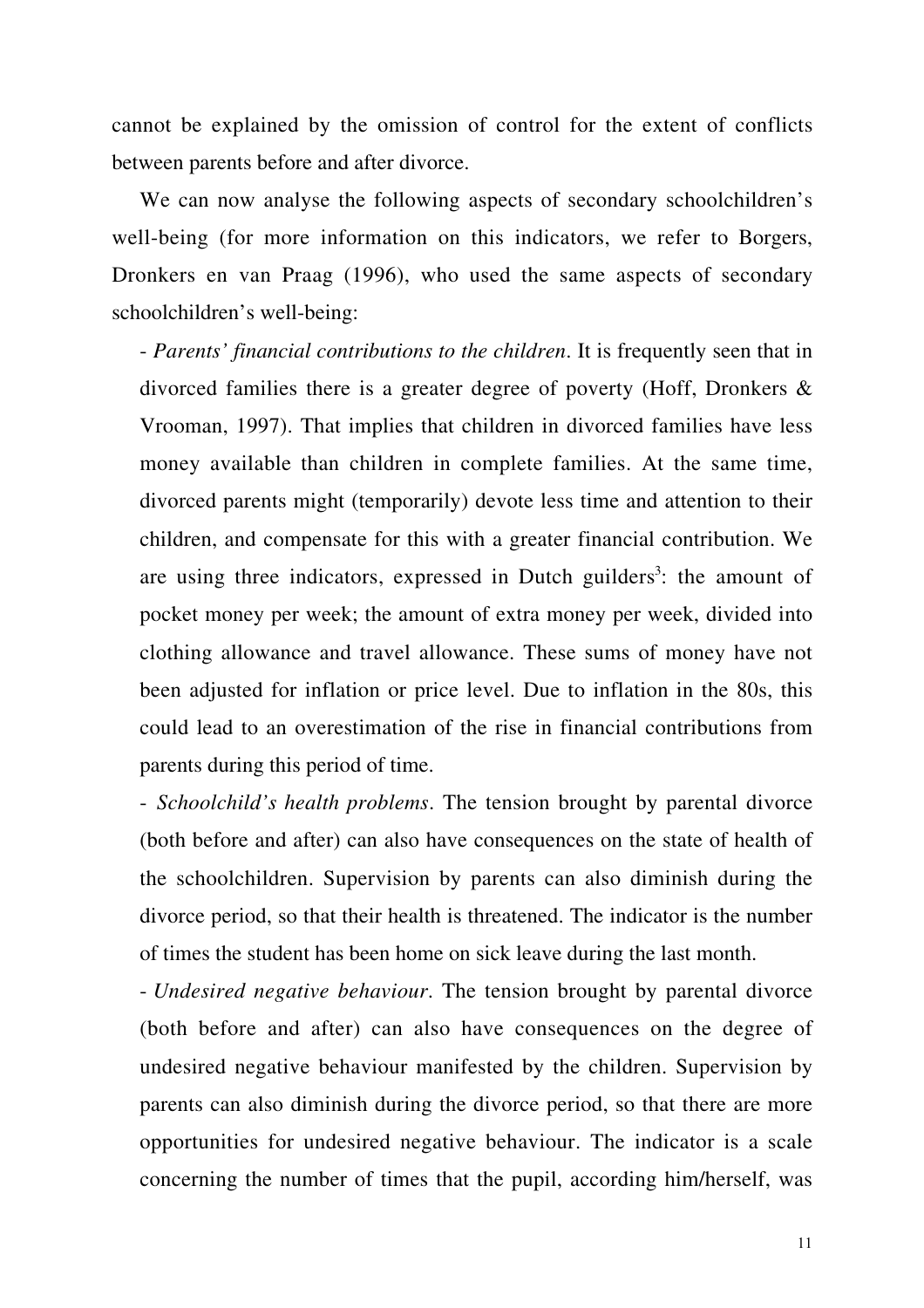cannot be explained by the omission of control for the extent of conflicts between parents before and after divorce.

We can now analyse the following aspects of secondary schoolchildren's well-being (for more information on this indicators, we refer to Borgers, Dronkers en van Praag (1996), who used the same aspects of secondary schoolchildren's well-being:

- *Parents' financial contributions to the children*. It is frequently seen that in divorced families there is a greater degree of poverty (Hoff, Dronkers & Vrooman, 1997). That implies that children in divorced families have less money available than children in complete families. At the same time, divorced parents might (temporarily) devote less time and attention to their children, and compensate for this with a greater financial contribution. We are using three indicators, expressed in Dutch guilders<sup>3</sup>: the amount of pocket money per week; the amount of extra money per week, divided into clothing allowance and travel allowance. These sums of money have not been adjusted for inflation or price level. Due to inflation in the 80s, this could lead to an overestimation of the rise in financial contributions from parents during this period of time.

- *Schoolchild's health problems*. The tension brought by parental divorce (both before and after) can also have consequences on the state of health of the schoolchildren. Supervision by parents can also diminish during the divorce period, so that their health is threatened. The indicator is the number of times the student has been home on sick leave during the last month.

- *Undesired negative behaviour*. The tension brought by parental divorce (both before and after) can also have consequences on the degree of undesired negative behaviour manifested by the children. Supervision by parents can also diminish during the divorce period, so that there are more opportunities for undesired negative behaviour. The indicator is a scale concerning the number of times that the pupil, according him/herself, was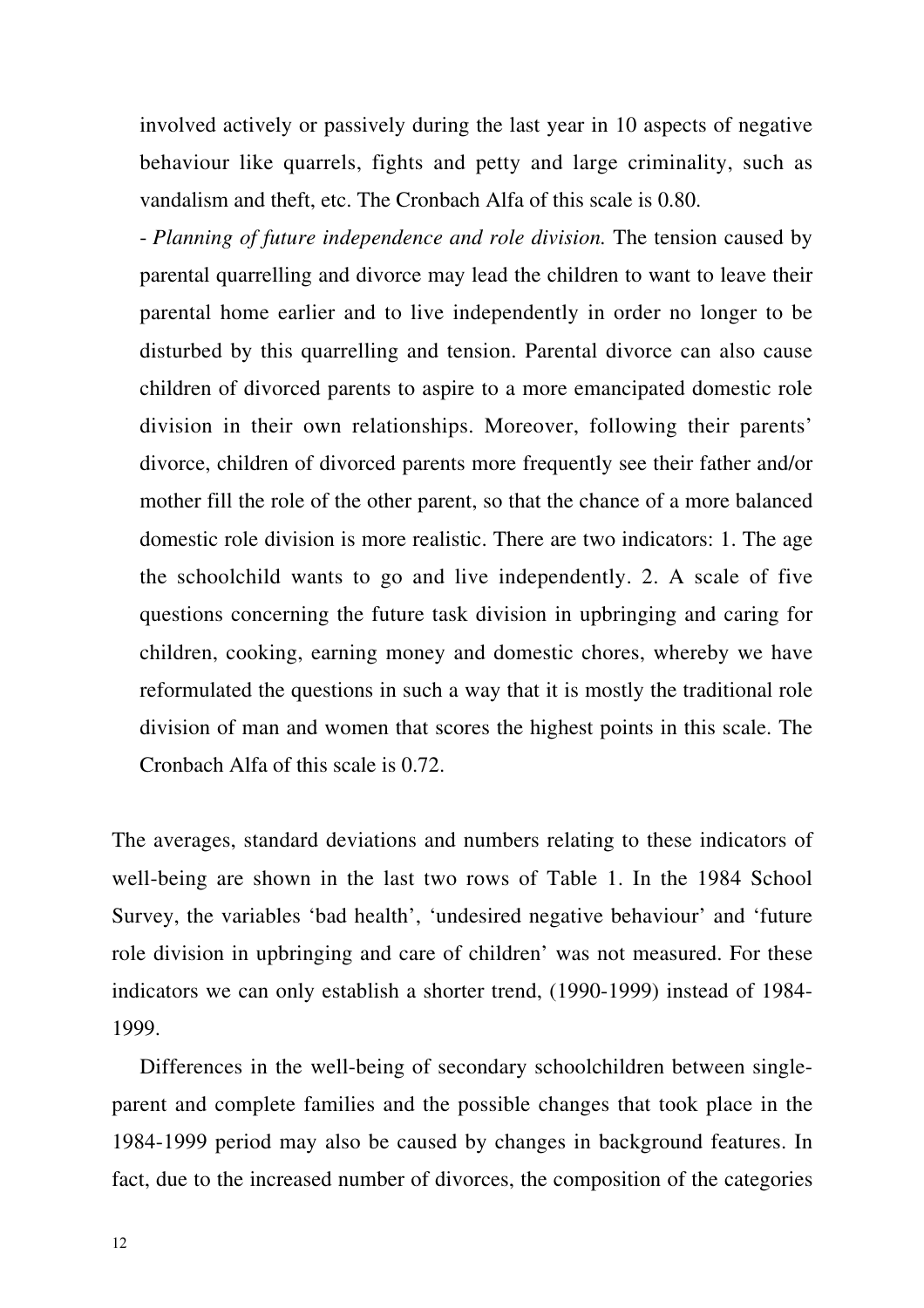involved actively or passively during the last year in 10 aspects of negative behaviour like quarrels, fights and petty and large criminality, such as vandalism and theft, etc. The Cronbach Alfa of this scale is 0.80.

- *Planning of future independence and role division.* The tension caused by parental quarrelling and divorce may lead the children to want to leave their parental home earlier and to live independently in order no longer to be disturbed by this quarrelling and tension. Parental divorce can also cause children of divorced parents to aspire to a more emancipated domestic role division in their own relationships. Moreover, following their parents' divorce, children of divorced parents more frequently see their father and/or mother fill the role of the other parent, so that the chance of a more balanced domestic role division is more realistic. There are two indicators: 1. The age the schoolchild wants to go and live independently. 2. A scale of five questions concerning the future task division in upbringing and caring for children, cooking, earning money and domestic chores, whereby we have reformulated the questions in such a way that it is mostly the traditional role division of man and women that scores the highest points in this scale. The Cronbach Alfa of this scale is 0.72.

The averages, standard deviations and numbers relating to these indicators of well-being are shown in the last two rows of Table 1. In the 1984 School Survey, the variables 'bad health', 'undesired negative behaviour' and 'future role division in upbringing and care of children' was not measured. For these indicators we can only establish a shorter trend, (1990-1999) instead of 1984- 1999.

Differences in the well-being of secondary schoolchildren between singleparent and complete families and the possible changes that took place in the 1984-1999 period may also be caused by changes in background features. In fact, due to the increased number of divorces, the composition of the categories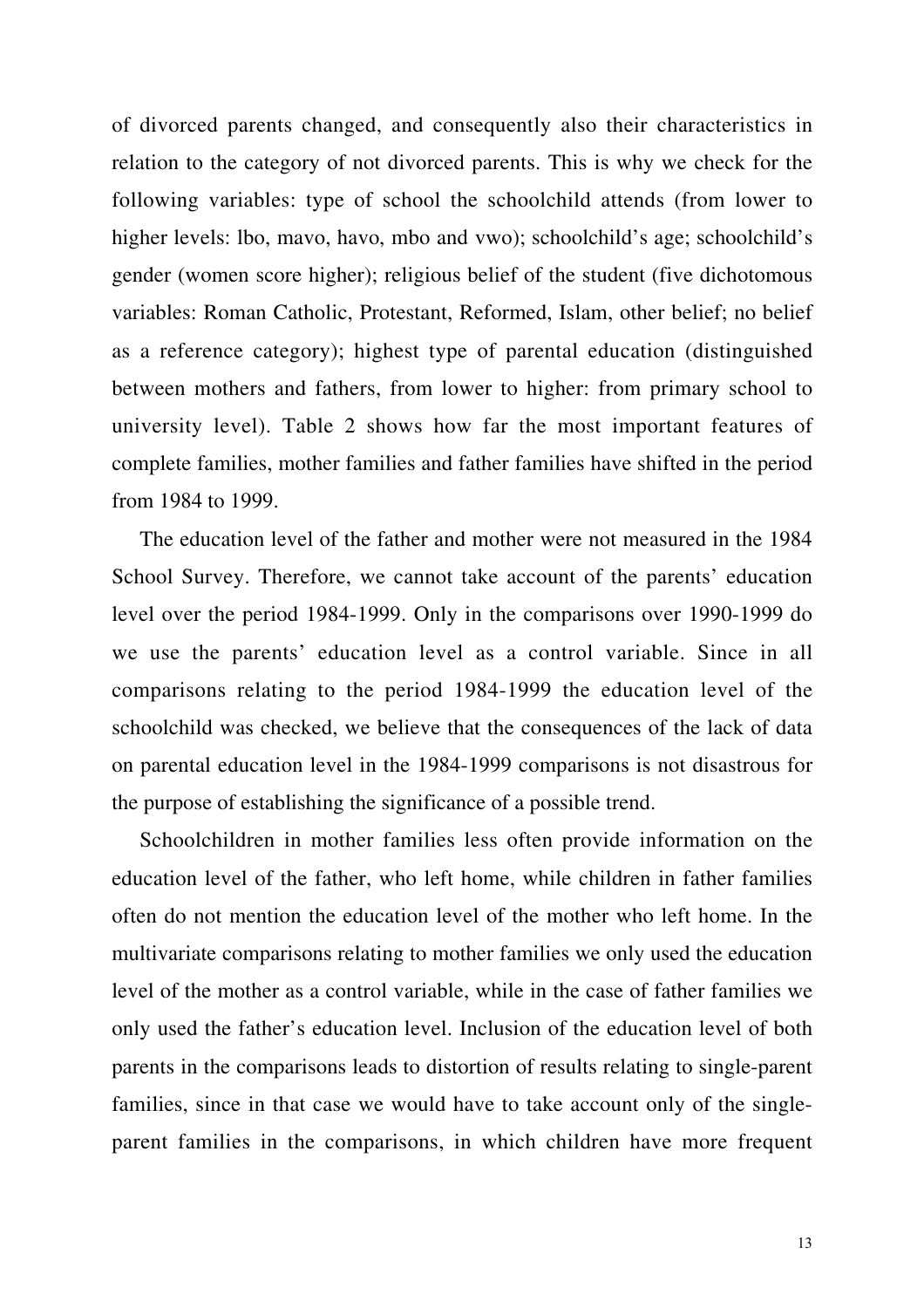of divorced parents changed, and consequently also their characteristics in relation to the category of not divorced parents. This is why we check for the following variables: type of school the schoolchild attends (from lower to higher levels: lbo, mavo, havo, mbo and vwo); schoolchild's age; schoolchild's gender (women score higher); religious belief of the student (five dichotomous variables: Roman Catholic, Protestant, Reformed, Islam, other belief; no belief as a reference category); highest type of parental education (distinguished between mothers and fathers, from lower to higher: from primary school to university level). Table 2 shows how far the most important features of complete families, mother families and father families have shifted in the period from 1984 to 1999.

The education level of the father and mother were not measured in the 1984 School Survey. Therefore, we cannot take account of the parents' education level over the period 1984-1999. Only in the comparisons over 1990-1999 do we use the parents' education level as a control variable. Since in all comparisons relating to the period 1984-1999 the education level of the schoolchild was checked, we believe that the consequences of the lack of data on parental education level in the 1984-1999 comparisons is not disastrous for the purpose of establishing the significance of a possible trend.

Schoolchildren in mother families less often provide information on the education level of the father, who left home, while children in father families often do not mention the education level of the mother who left home. In the multivariate comparisons relating to mother families we only used the education level of the mother as a control variable, while in the case of father families we only used the father's education level. Inclusion of the education level of both parents in the comparisons leads to distortion of results relating to single-parent families, since in that case we would have to take account only of the singleparent families in the comparisons, in which children have more frequent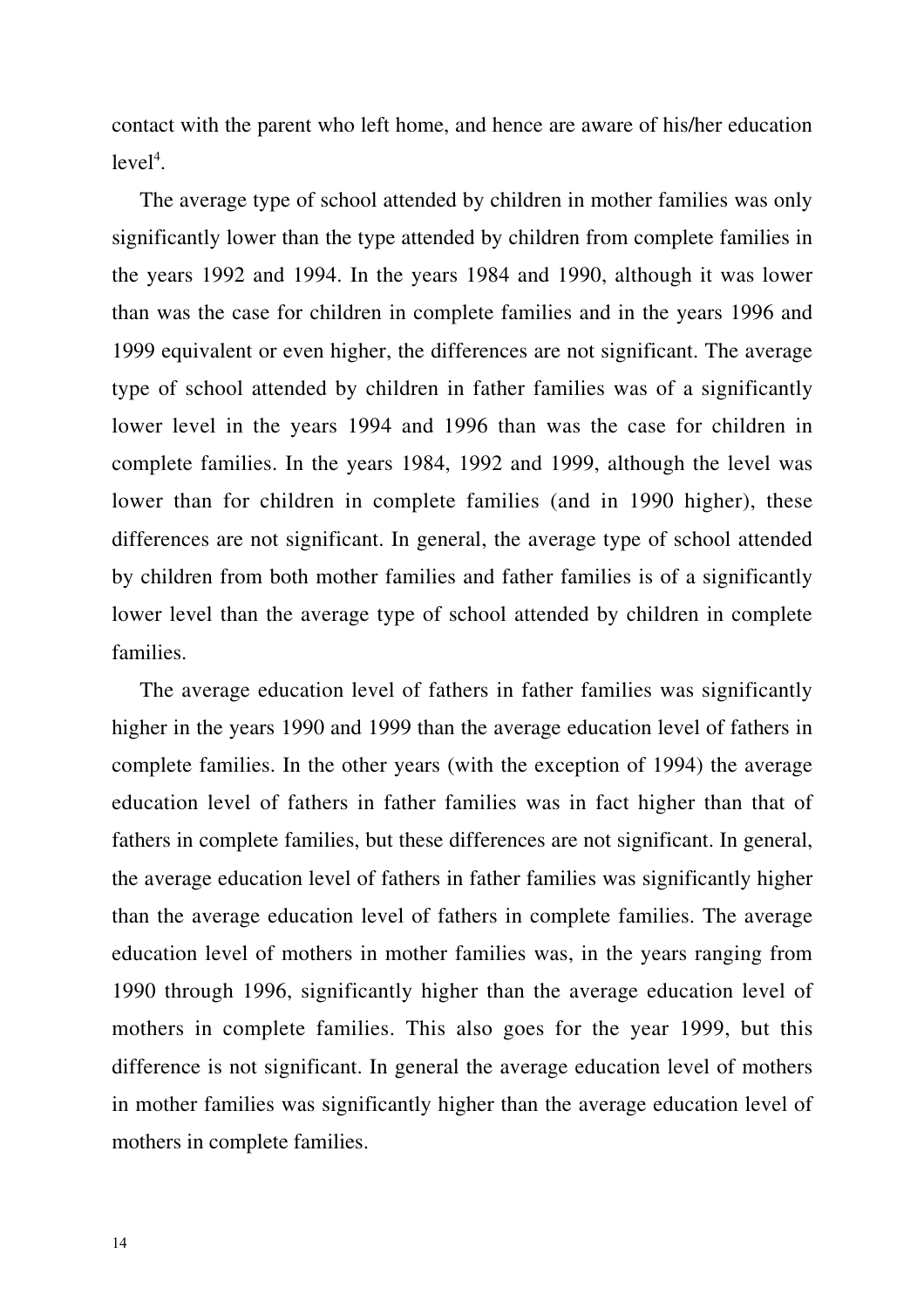contact with the parent who left home, and hence are aware of his/her education  $level<sup>4</sup>$ .

The average type of school attended by children in mother families was only significantly lower than the type attended by children from complete families in the years 1992 and 1994. In the years 1984 and 1990, although it was lower than was the case for children in complete families and in the years 1996 and 1999 equivalent or even higher, the differences are not significant. The average type of school attended by children in father families was of a significantly lower level in the years 1994 and 1996 than was the case for children in complete families. In the years 1984, 1992 and 1999, although the level was lower than for children in complete families (and in 1990 higher), these differences are not significant. In general, the average type of school attended by children from both mother families and father families is of a significantly lower level than the average type of school attended by children in complete families.

The average education level of fathers in father families was significantly higher in the years 1990 and 1999 than the average education level of fathers in complete families. In the other years (with the exception of 1994) the average education level of fathers in father families was in fact higher than that of fathers in complete families, but these differences are not significant. In general, the average education level of fathers in father families was significantly higher than the average education level of fathers in complete families. The average education level of mothers in mother families was, in the years ranging from 1990 through 1996, significantly higher than the average education level of mothers in complete families. This also goes for the year 1999, but this difference is not significant. In general the average education level of mothers in mother families was significantly higher than the average education level of mothers in complete families.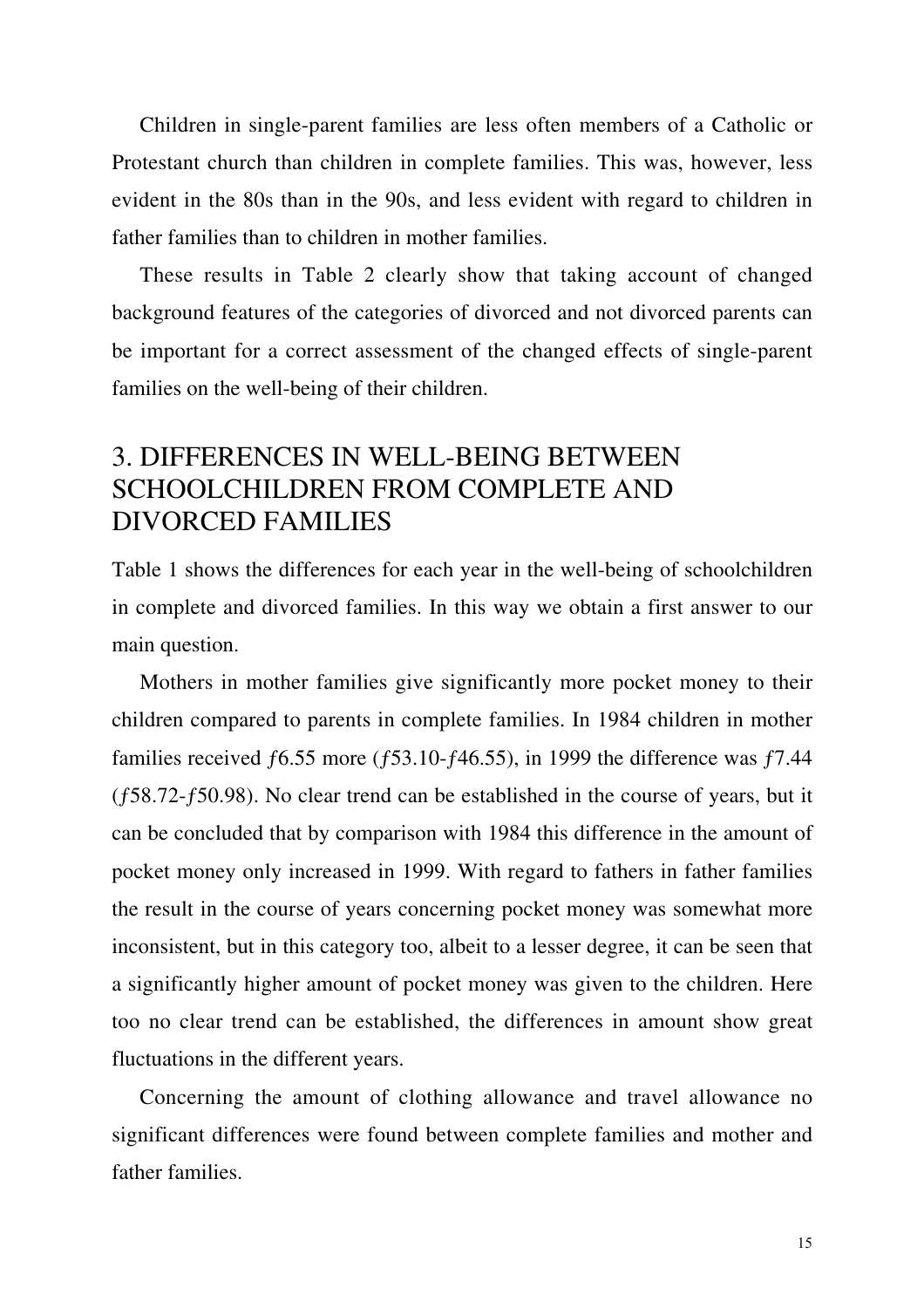Children in single-parent families are less often members of a Catholic or Protestant church than children in complete families. This was, however, less evident in the 80s than in the 90s, and less evident with regard to children in father families than to children in mother families.

These results in Table 2 clearly show that taking account of changed background features of the categories of divorced and not divorced parents can be important for a correct assessment of the changed effects of single-parent families on the well-being of their children.

## 3. DIFFERENCES IN WELL-BEING BETWEEN SCHOOLCHILDREN FROM COMPLETE AND DIVORCED FAMILIES

Table 1 shows the differences for each year in the well-being of schoolchildren in complete and divorced families. In this way we obtain a first answer to our main question.

Mothers in mother families give significantly more pocket money to their children compared to parents in complete families. In 1984 children in mother families received  $f6.55$  more ( $f53.10-f46.55$ ), in 1999 the difference was  $f7.44$ (ƒ58.72-ƒ50.98). No clear trend can be established in the course of years, but it can be concluded that by comparison with 1984 this difference in the amount of pocket money only increased in 1999. With regard to fathers in father families the result in the course of years concerning pocket money was somewhat more inconsistent, but in this category too, albeit to a lesser degree, it can be seen that a significantly higher amount of pocket money was given to the children. Here too no clear trend can be established, the differences in amount show great fluctuations in the different years.

Concerning the amount of clothing allowance and travel allowance no significant differences were found between complete families and mother and father families.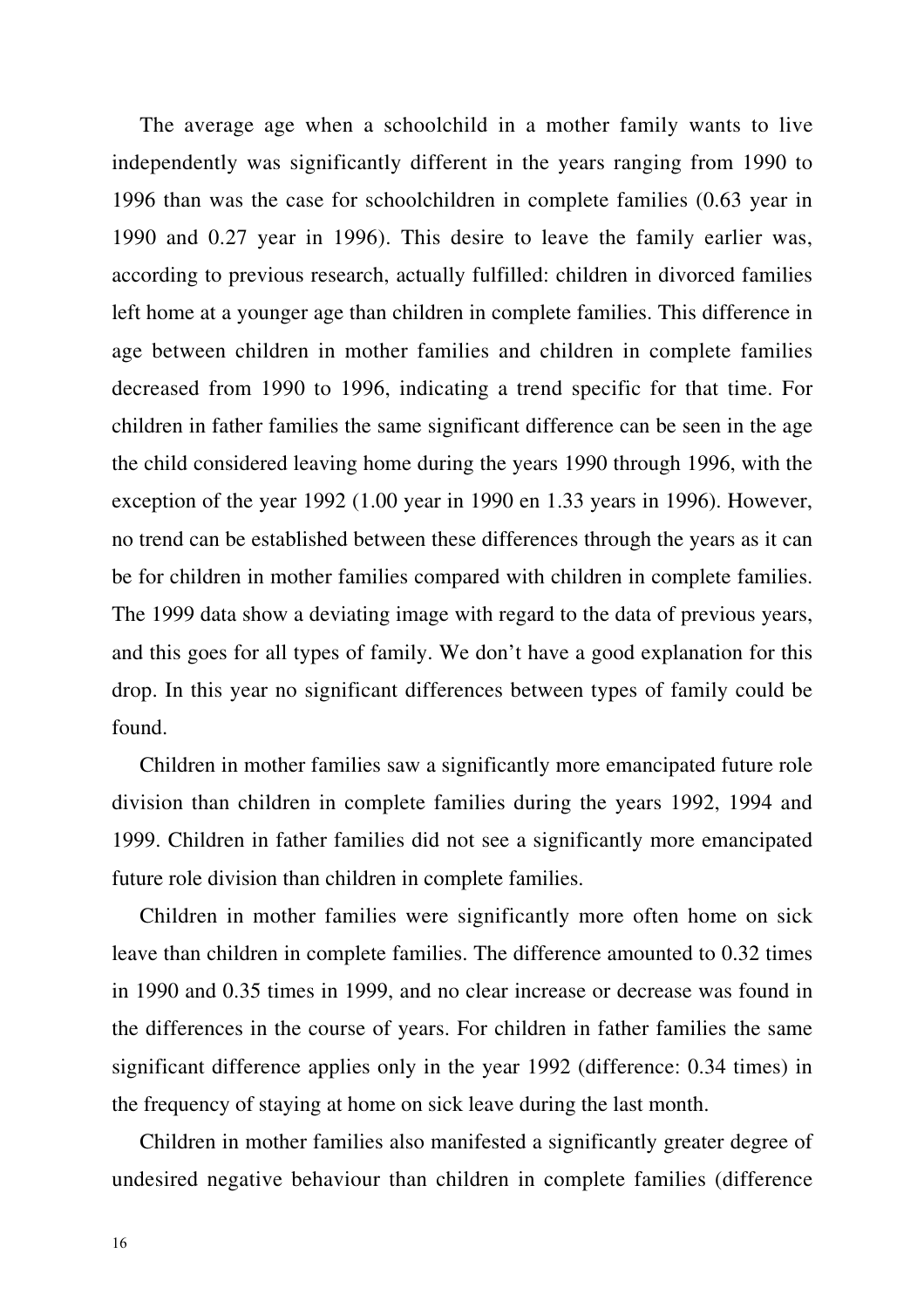The average age when a schoolchild in a mother family wants to live independently was significantly different in the years ranging from 1990 to 1996 than was the case for schoolchildren in complete families (0.63 year in 1990 and 0.27 year in 1996). This desire to leave the family earlier was, according to previous research, actually fulfilled: children in divorced families left home at a younger age than children in complete families. This difference in age between children in mother families and children in complete families decreased from 1990 to 1996, indicating a trend specific for that time. For children in father families the same significant difference can be seen in the age the child considered leaving home during the years 1990 through 1996, with the exception of the year 1992 (1.00 year in 1990 en 1.33 years in 1996). However, no trend can be established between these differences through the years as it can be for children in mother families compared with children in complete families. The 1999 data show a deviating image with regard to the data of previous years, and this goes for all types of family. We don't have a good explanation for this drop. In this year no significant differences between types of family could be found.

Children in mother families saw a significantly more emancipated future role division than children in complete families during the years 1992, 1994 and 1999. Children in father families did not see a significantly more emancipated future role division than children in complete families.

Children in mother families were significantly more often home on sick leave than children in complete families. The difference amounted to 0.32 times in 1990 and 0.35 times in 1999, and no clear increase or decrease was found in the differences in the course of years. For children in father families the same significant difference applies only in the year 1992 (difference: 0.34 times) in the frequency of staying at home on sick leave during the last month.

Children in mother families also manifested a significantly greater degree of undesired negative behaviour than children in complete families (difference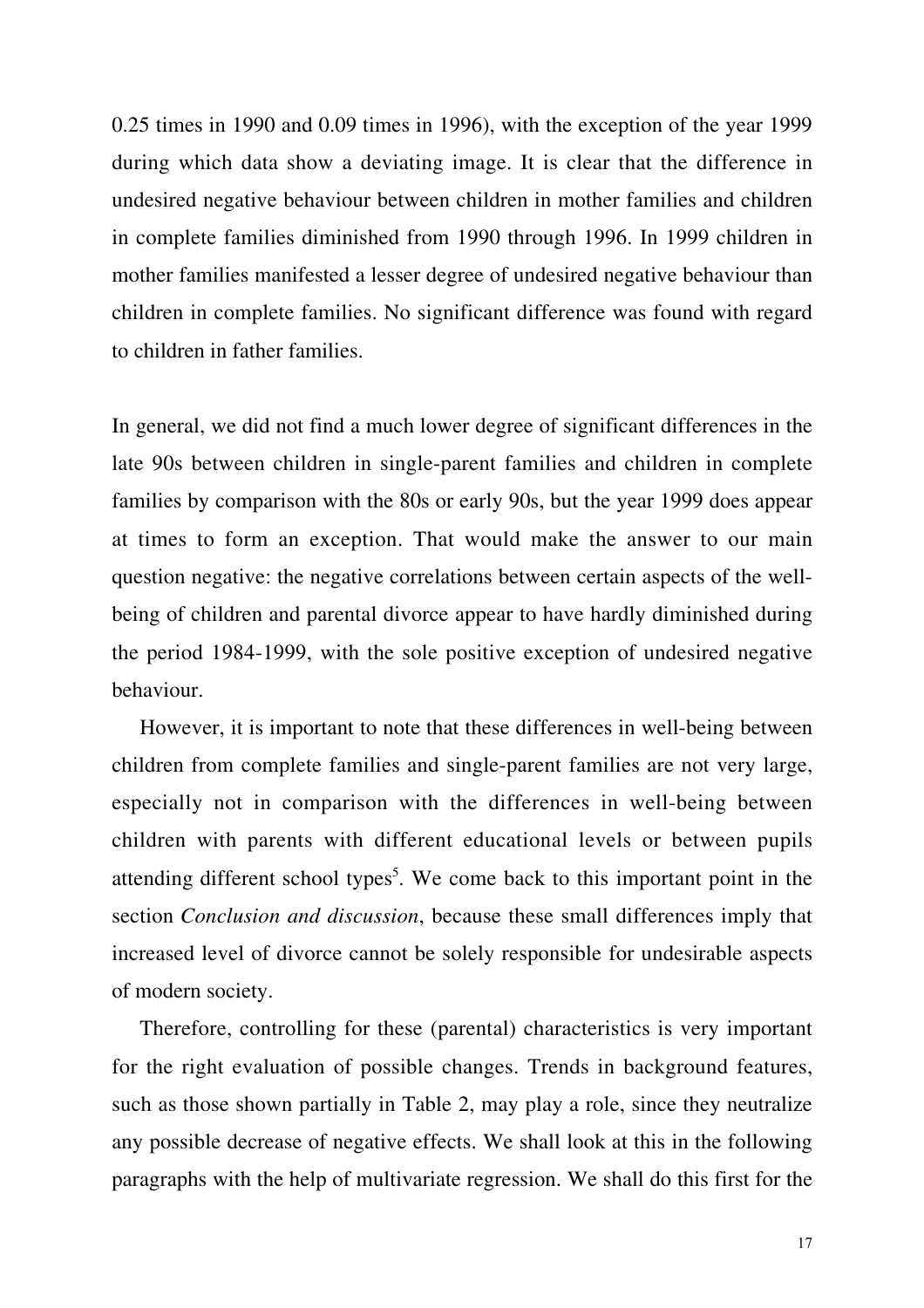0.25 times in 1990 and 0.09 times in 1996), with the exception of the year 1999 during which data show a deviating image. It is clear that the difference in undesired negative behaviour between children in mother families and children in complete families diminished from 1990 through 1996. In 1999 children in mother families manifested a lesser degree of undesired negative behaviour than children in complete families. No significant difference was found with regard to children in father families.

In general, we did not find a much lower degree of significant differences in the late 90s between children in single-parent families and children in complete families by comparison with the 80s or early 90s, but the year 1999 does appear at times to form an exception. That would make the answer to our main question negative: the negative correlations between certain aspects of the wellbeing of children and parental divorce appear to have hardly diminished during the period 1984-1999, with the sole positive exception of undesired negative behaviour.

However, it is important to note that these differences in well-being between children from complete families and single-parent families are not very large, especially not in comparison with the differences in well-being between children with parents with different educational levels or between pupils attending different school types<sup>5</sup>. We come back to this important point in the section *Conclusion and discussion*, because these small differences imply that increased level of divorce cannot be solely responsible for undesirable aspects of modern society.

Therefore, controlling for these (parental) characteristics is very important for the right evaluation of possible changes. Trends in background features, such as those shown partially in Table 2, may play a role, since they neutralize any possible decrease of negative effects. We shall look at this in the following paragraphs with the help of multivariate regression. We shall do this first for the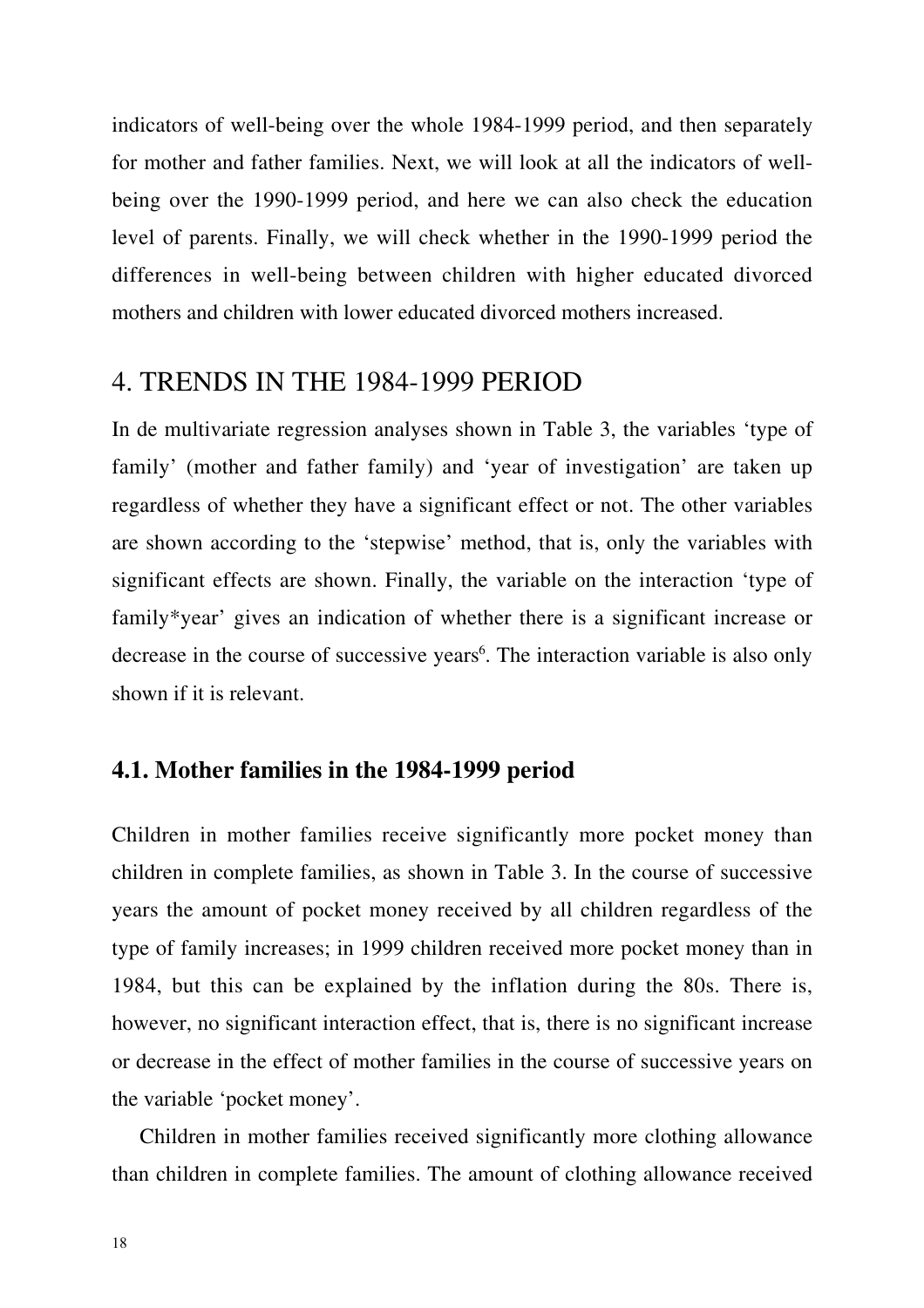indicators of well-being over the whole 1984-1999 period, and then separately for mother and father families. Next, we will look at all the indicators of wellbeing over the 1990-1999 period, and here we can also check the education level of parents. Finally, we will check whether in the 1990-1999 period the differences in well-being between children with higher educated divorced mothers and children with lower educated divorced mothers increased.

### 4. TRENDS IN THE 1984-1999 PERIOD

In de multivariate regression analyses shown in Table 3, the variables 'type of family' (mother and father family) and 'year of investigation' are taken up regardless of whether they have a significant effect or not. The other variables are shown according to the 'stepwise' method, that is, only the variables with significant effects are shown. Finally, the variable on the interaction 'type of family\*year' gives an indication of whether there is a significant increase or decrease in the course of successive years<sup>6</sup>. The interaction variable is also only shown if it is relevant.

### **4.1. Mother families in the 1984-1999 period**

Children in mother families receive significantly more pocket money than children in complete families, as shown in Table 3. In the course of successive years the amount of pocket money received by all children regardless of the type of family increases; in 1999 children received more pocket money than in 1984, but this can be explained by the inflation during the 80s. There is, however, no significant interaction effect, that is, there is no significant increase or decrease in the effect of mother families in the course of successive years on the variable 'pocket money'.

Children in mother families received significantly more clothing allowance than children in complete families. The amount of clothing allowance received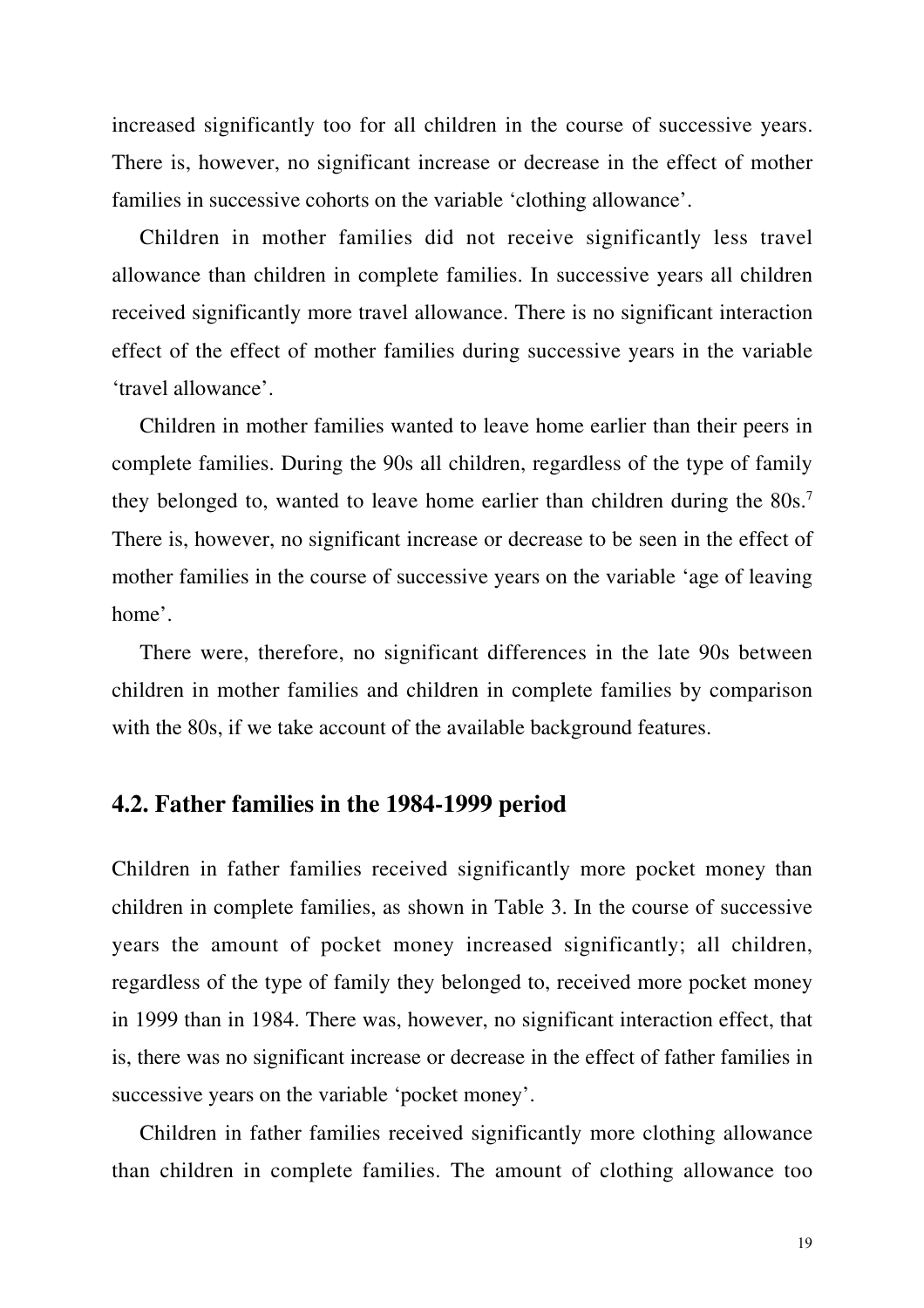increased significantly too for all children in the course of successive years. There is, however, no significant increase or decrease in the effect of mother families in successive cohorts on the variable 'clothing allowance'.

Children in mother families did not receive significantly less travel allowance than children in complete families. In successive years all children received significantly more travel allowance. There is no significant interaction effect of the effect of mother families during successive years in the variable 'travel allowance'.

Children in mother families wanted to leave home earlier than their peers in complete families. During the 90s all children, regardless of the type of family they belonged to, wanted to leave home earlier than children during the 80s.<sup>7</sup> There is, however, no significant increase or decrease to be seen in the effect of mother families in the course of successive years on the variable 'age of leaving home'.

There were, therefore, no significant differences in the late 90s between children in mother families and children in complete families by comparison with the 80s, if we take account of the available background features.

#### **4.2. Father families in the 1984-1999 period**

Children in father families received significantly more pocket money than children in complete families, as shown in Table 3. In the course of successive years the amount of pocket money increased significantly; all children, regardless of the type of family they belonged to, received more pocket money in 1999 than in 1984. There was, however, no significant interaction effect, that is, there was no significant increase or decrease in the effect of father families in successive years on the variable 'pocket money'.

Children in father families received significantly more clothing allowance than children in complete families. The amount of clothing allowance too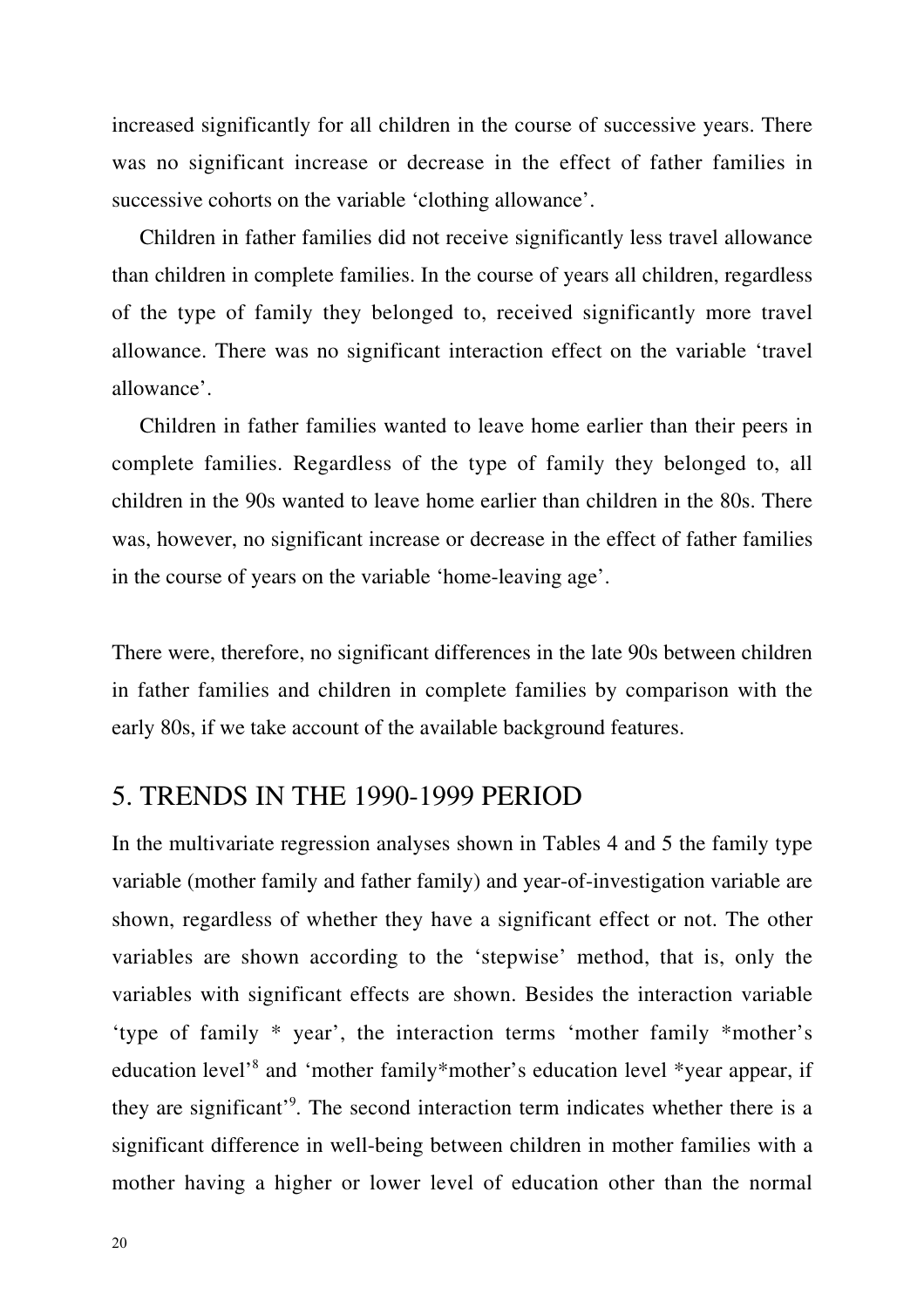increased significantly for all children in the course of successive years. There was no significant increase or decrease in the effect of father families in successive cohorts on the variable 'clothing allowance'.

Children in father families did not receive significantly less travel allowance than children in complete families. In the course of years all children, regardless of the type of family they belonged to, received significantly more travel allowance. There was no significant interaction effect on the variable 'travel allowance'.

Children in father families wanted to leave home earlier than their peers in complete families. Regardless of the type of family they belonged to, all children in the 90s wanted to leave home earlier than children in the 80s. There was, however, no significant increase or decrease in the effect of father families in the course of years on the variable 'home-leaving age'.

There were, therefore, no significant differences in the late 90s between children in father families and children in complete families by comparison with the early 80s, if we take account of the available background features.

### 5. TRENDS IN THE 1990-1999 PERIOD

In the multivariate regression analyses shown in Tables 4 and 5 the family type variable (mother family and father family) and year-of-investigation variable are shown, regardless of whether they have a significant effect or not. The other variables are shown according to the 'stepwise' method, that is, only the variables with significant effects are shown. Besides the interaction variable 'type of family \* year', the interaction terms 'mother family \*mother's education level'8 and 'mother family\*mother's education level \*year appear, if they are significant'9 . The second interaction term indicates whether there is a significant difference in well-being between children in mother families with a mother having a higher or lower level of education other than the normal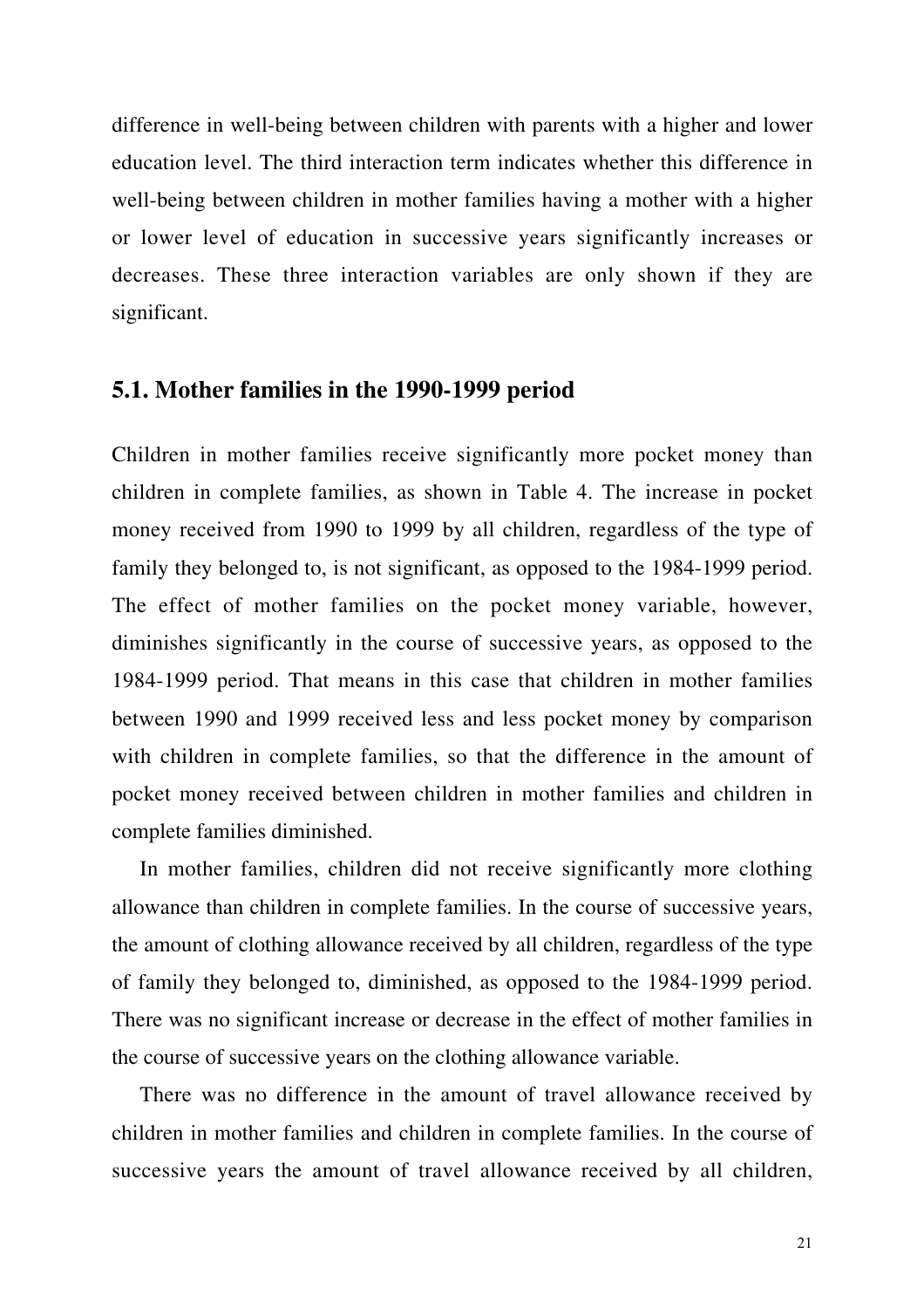difference in well-being between children with parents with a higher and lower education level. The third interaction term indicates whether this difference in well-being between children in mother families having a mother with a higher or lower level of education in successive years significantly increases or decreases. These three interaction variables are only shown if they are significant.

### **5.1. Mother families in the 1990-1999 period**

Children in mother families receive significantly more pocket money than children in complete families, as shown in Table 4. The increase in pocket money received from 1990 to 1999 by all children, regardless of the type of family they belonged to, is not significant, as opposed to the 1984-1999 period. The effect of mother families on the pocket money variable, however, diminishes significantly in the course of successive years, as opposed to the 1984-1999 period. That means in this case that children in mother families between 1990 and 1999 received less and less pocket money by comparison with children in complete families, so that the difference in the amount of pocket money received between children in mother families and children in complete families diminished.

In mother families, children did not receive significantly more clothing allowance than children in complete families. In the course of successive years, the amount of clothing allowance received by all children, regardless of the type of family they belonged to, diminished, as opposed to the 1984-1999 period. There was no significant increase or decrease in the effect of mother families in the course of successive years on the clothing allowance variable.

There was no difference in the amount of travel allowance received by children in mother families and children in complete families. In the course of successive years the amount of travel allowance received by all children,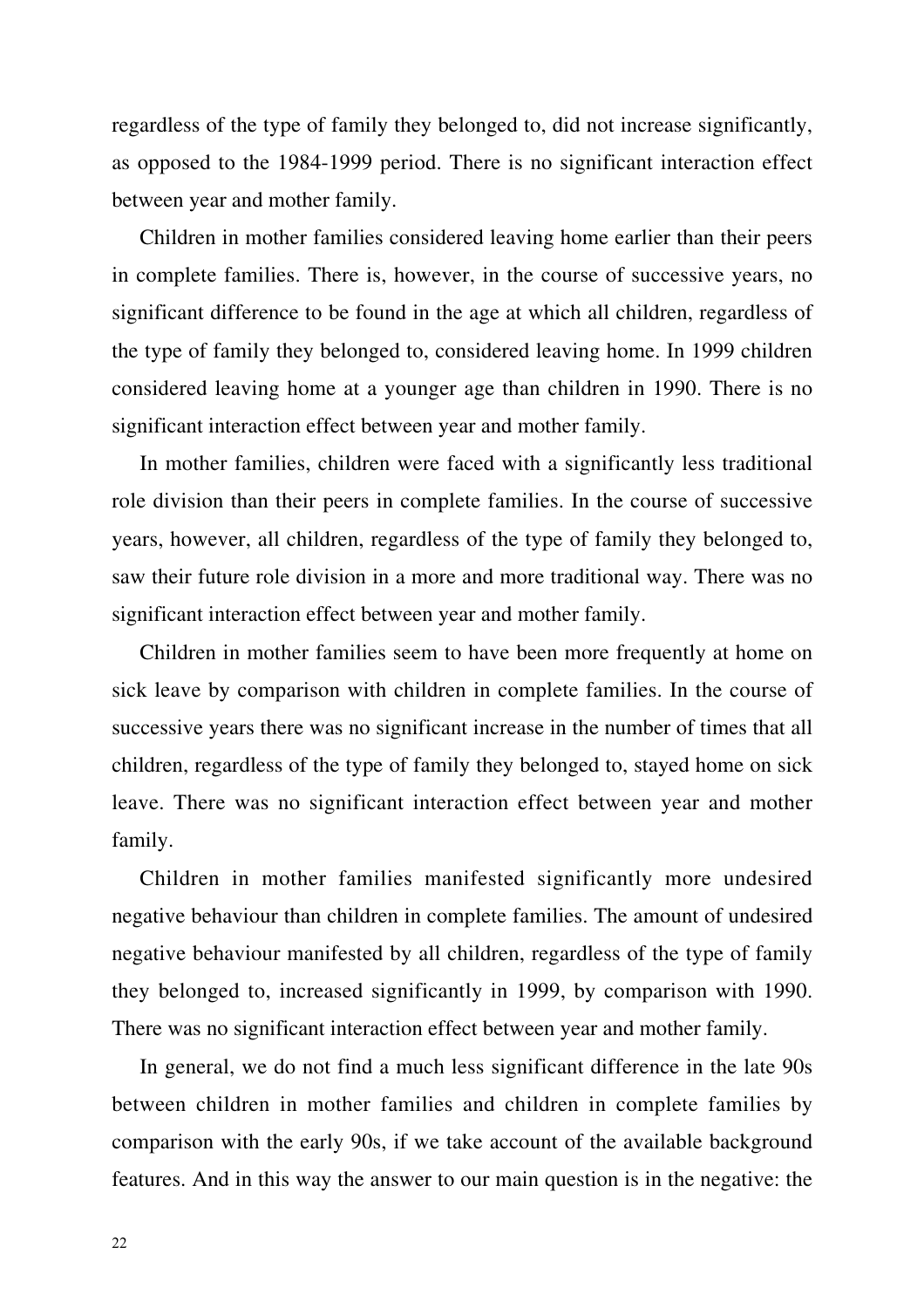regardless of the type of family they belonged to, did not increase significantly, as opposed to the 1984-1999 period. There is no significant interaction effect between year and mother family.

Children in mother families considered leaving home earlier than their peers in complete families. There is, however, in the course of successive years, no significant difference to be found in the age at which all children, regardless of the type of family they belonged to, considered leaving home. In 1999 children considered leaving home at a younger age than children in 1990. There is no significant interaction effect between year and mother family.

In mother families, children were faced with a significantly less traditional role division than their peers in complete families. In the course of successive years, however, all children, regardless of the type of family they belonged to, saw their future role division in a more and more traditional way. There was no significant interaction effect between year and mother family.

Children in mother families seem to have been more frequently at home on sick leave by comparison with children in complete families. In the course of successive years there was no significant increase in the number of times that all children, regardless of the type of family they belonged to, stayed home on sick leave. There was no significant interaction effect between year and mother family.

Children in mother families manifested significantly more undesired negative behaviour than children in complete families. The amount of undesired negative behaviour manifested by all children, regardless of the type of family they belonged to, increased significantly in 1999, by comparison with 1990. There was no significant interaction effect between year and mother family.

In general, we do not find a much less significant difference in the late 90s between children in mother families and children in complete families by comparison with the early 90s, if we take account of the available background features. And in this way the answer to our main question is in the negative: the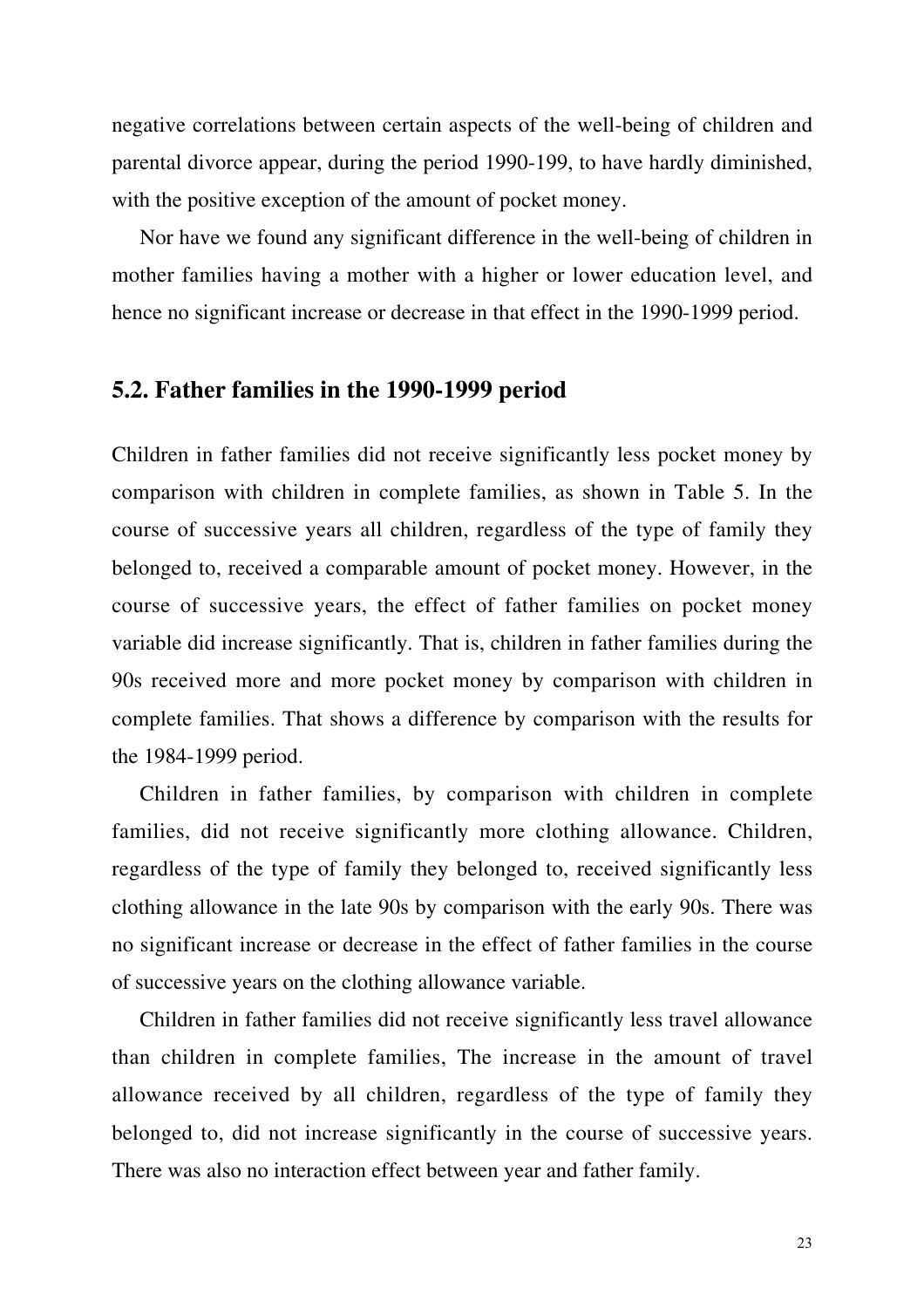negative correlations between certain aspects of the well-being of children and parental divorce appear, during the period 1990-199, to have hardly diminished, with the positive exception of the amount of pocket money.

Nor have we found any significant difference in the well-being of children in mother families having a mother with a higher or lower education level, and hence no significant increase or decrease in that effect in the 1990-1999 period.

### **5.2. Father families in the 1990-1999 period**

Children in father families did not receive significantly less pocket money by comparison with children in complete families, as shown in Table 5. In the course of successive years all children, regardless of the type of family they belonged to, received a comparable amount of pocket money. However, in the course of successive years, the effect of father families on pocket money variable did increase significantly. That is, children in father families during the 90s received more and more pocket money by comparison with children in complete families. That shows a difference by comparison with the results for the 1984-1999 period.

Children in father families, by comparison with children in complete families, did not receive significantly more clothing allowance. Children, regardless of the type of family they belonged to, received significantly less clothing allowance in the late 90s by comparison with the early 90s. There was no significant increase or decrease in the effect of father families in the course of successive years on the clothing allowance variable.

Children in father families did not receive significantly less travel allowance than children in complete families, The increase in the amount of travel allowance received by all children, regardless of the type of family they belonged to, did not increase significantly in the course of successive years. There was also no interaction effect between year and father family.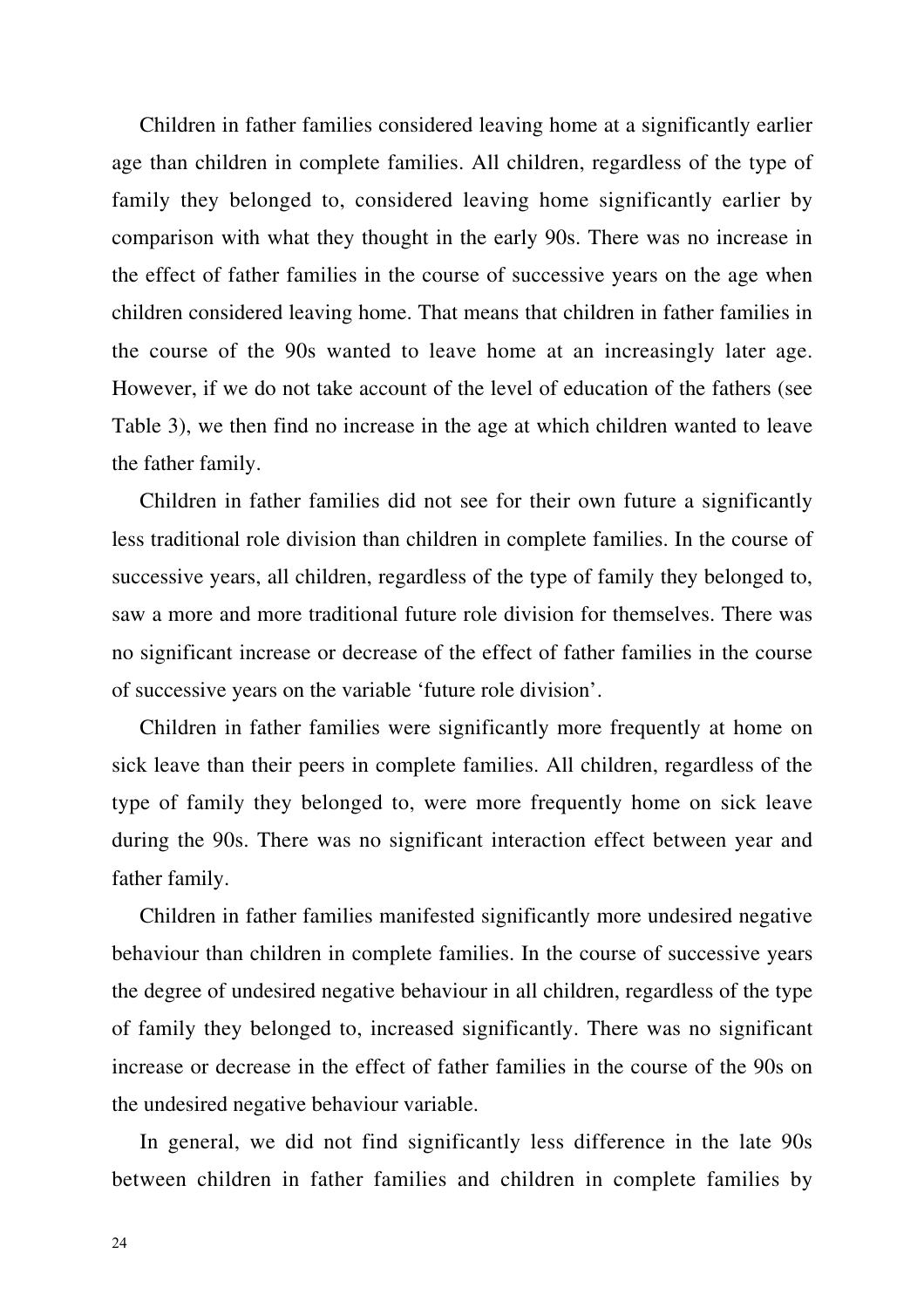Children in father families considered leaving home at a significantly earlier age than children in complete families. All children, regardless of the type of family they belonged to, considered leaving home significantly earlier by comparison with what they thought in the early 90s. There was no increase in the effect of father families in the course of successive years on the age when children considered leaving home. That means that children in father families in the course of the 90s wanted to leave home at an increasingly later age. However, if we do not take account of the level of education of the fathers (see Table 3), we then find no increase in the age at which children wanted to leave the father family.

Children in father families did not see for their own future a significantly less traditional role division than children in complete families. In the course of successive years, all children, regardless of the type of family they belonged to, saw a more and more traditional future role division for themselves. There was no significant increase or decrease of the effect of father families in the course of successive years on the variable 'future role division'.

Children in father families were significantly more frequently at home on sick leave than their peers in complete families. All children, regardless of the type of family they belonged to, were more frequently home on sick leave during the 90s. There was no significant interaction effect between year and father family.

Children in father families manifested significantly more undesired negative behaviour than children in complete families. In the course of successive years the degree of undesired negative behaviour in all children, regardless of the type of family they belonged to, increased significantly. There was no significant increase or decrease in the effect of father families in the course of the 90s on the undesired negative behaviour variable.

In general, we did not find significantly less difference in the late 90s between children in father families and children in complete families by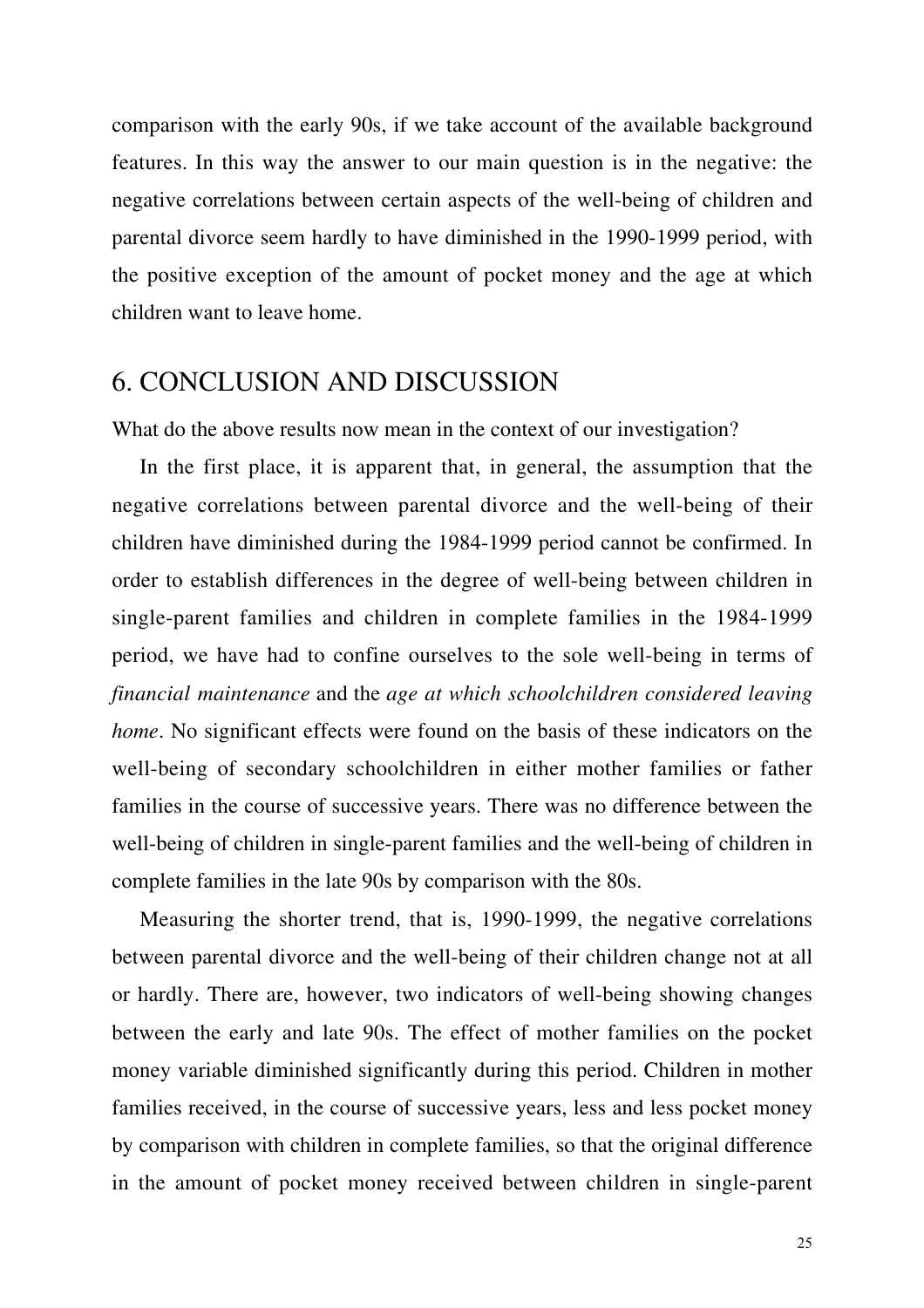comparison with the early 90s, if we take account of the available background features. In this way the answer to our main question is in the negative: the negative correlations between certain aspects of the well-being of children and parental divorce seem hardly to have diminished in the 1990-1999 period, with the positive exception of the amount of pocket money and the age at which children want to leave home.

### 6. CONCLUSION AND DISCUSSION

What do the above results now mean in the context of our investigation?

In the first place, it is apparent that, in general, the assumption that the negative correlations between parental divorce and the well-being of their children have diminished during the 1984-1999 period cannot be confirmed. In order to establish differences in the degree of well-being between children in single-parent families and children in complete families in the 1984-1999 period, we have had to confine ourselves to the sole well-being in terms of *financial maintenance* and the *age at which schoolchildren considered leaving home*. No significant effects were found on the basis of these indicators on the well-being of secondary schoolchildren in either mother families or father families in the course of successive years. There was no difference between the well-being of children in single-parent families and the well-being of children in complete families in the late 90s by comparison with the 80s.

Measuring the shorter trend, that is, 1990-1999, the negative correlations between parental divorce and the well-being of their children change not at all or hardly. There are, however, two indicators of well-being showing changes between the early and late 90s. The effect of mother families on the pocket money variable diminished significantly during this period. Children in mother families received, in the course of successive years, less and less pocket money by comparison with children in complete families, so that the original difference in the amount of pocket money received between children in single-parent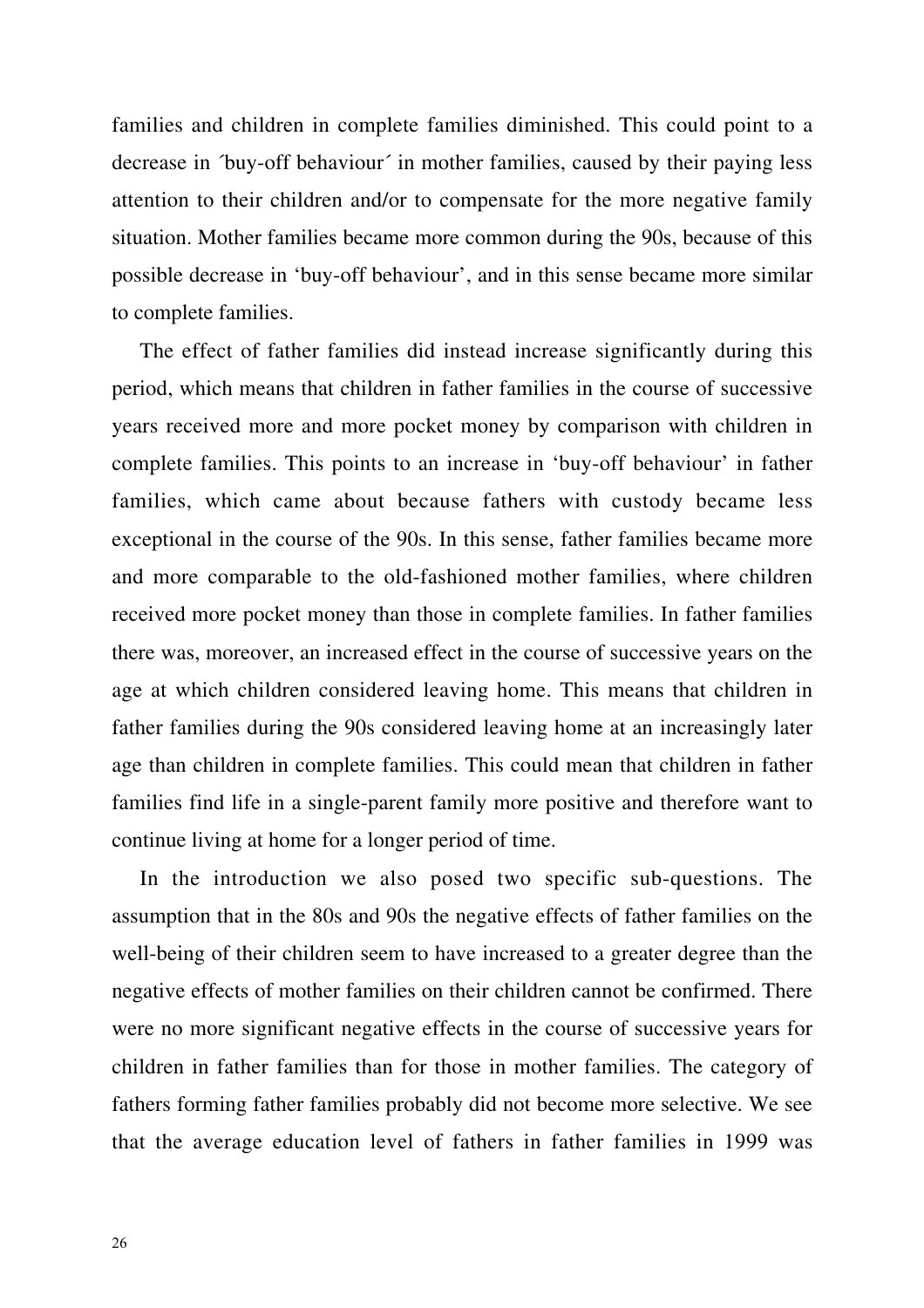families and children in complete families diminished. This could point to a decrease in ´buy-off behaviour´ in mother families, caused by their paying less attention to their children and/or to compensate for the more negative family situation. Mother families became more common during the 90s, because of this possible decrease in 'buy-off behaviour', and in this sense became more similar to complete families.

The effect of father families did instead increase significantly during this period, which means that children in father families in the course of successive years received more and more pocket money by comparison with children in complete families. This points to an increase in 'buy-off behaviour' in father families, which came about because fathers with custody became less exceptional in the course of the 90s. In this sense, father families became more and more comparable to the old-fashioned mother families, where children received more pocket money than those in complete families. In father families there was, moreover, an increased effect in the course of successive years on the age at which children considered leaving home. This means that children in father families during the 90s considered leaving home at an increasingly later age than children in complete families. This could mean that children in father families find life in a single-parent family more positive and therefore want to continue living at home for a longer period of time.

In the introduction we also posed two specific sub-questions. The assumption that in the 80s and 90s the negative effects of father families on the well-being of their children seem to have increased to a greater degree than the negative effects of mother families on their children cannot be confirmed. There were no more significant negative effects in the course of successive years for children in father families than for those in mother families. The category of fathers forming father families probably did not become more selective. We see that the average education level of fathers in father families in 1999 was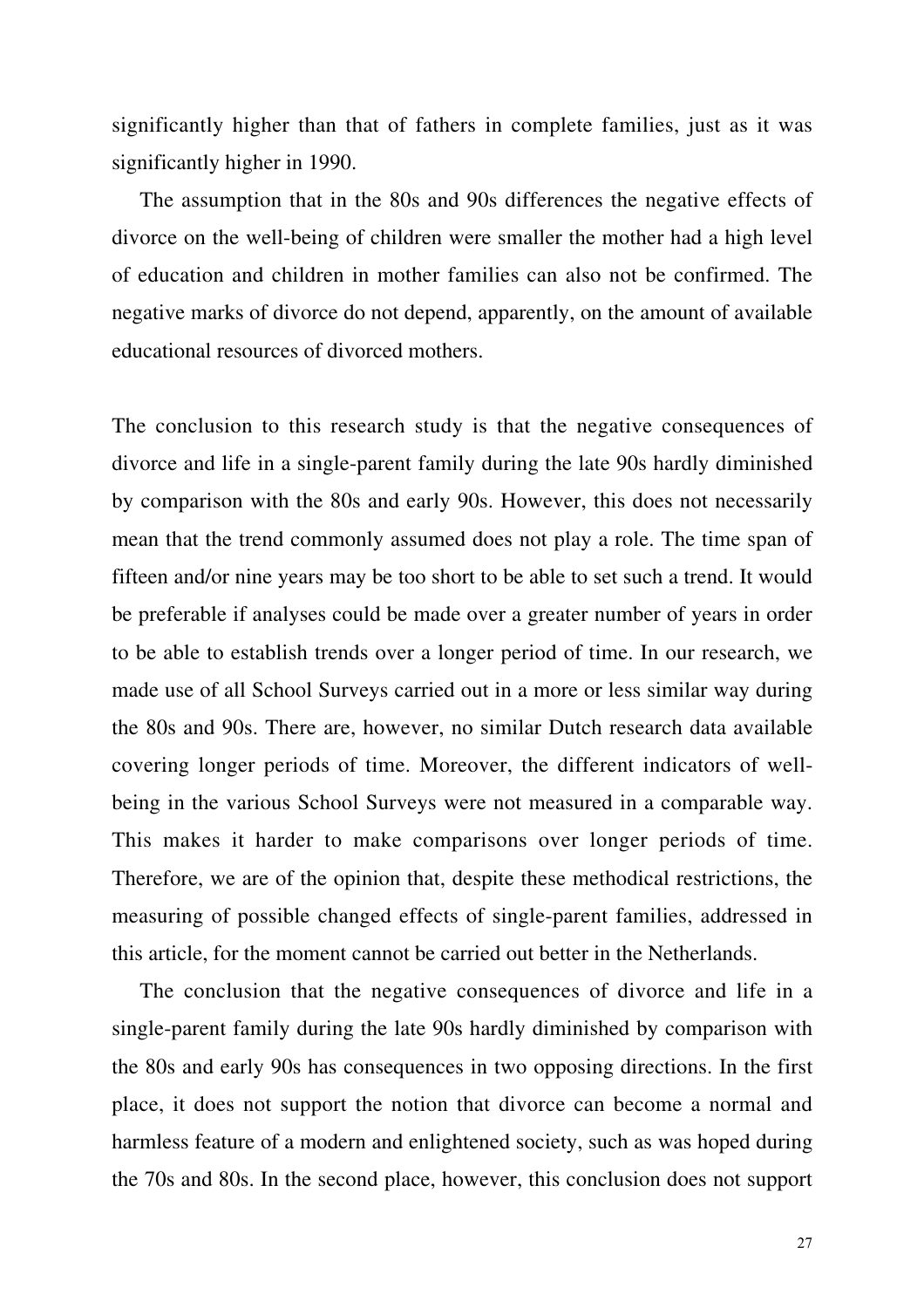significantly higher than that of fathers in complete families, just as it was significantly higher in 1990.

The assumption that in the 80s and 90s differences the negative effects of divorce on the well-being of children were smaller the mother had a high level of education and children in mother families can also not be confirmed. The negative marks of divorce do not depend, apparently, on the amount of available educational resources of divorced mothers.

The conclusion to this research study is that the negative consequences of divorce and life in a single-parent family during the late 90s hardly diminished by comparison with the 80s and early 90s. However, this does not necessarily mean that the trend commonly assumed does not play a role. The time span of fifteen and/or nine years may be too short to be able to set such a trend. It would be preferable if analyses could be made over a greater number of years in order to be able to establish trends over a longer period of time. In our research, we made use of all School Surveys carried out in a more or less similar way during the 80s and 90s. There are, however, no similar Dutch research data available covering longer periods of time. Moreover, the different indicators of wellbeing in the various School Surveys were not measured in a comparable way. This makes it harder to make comparisons over longer periods of time. Therefore, we are of the opinion that, despite these methodical restrictions, the measuring of possible changed effects of single-parent families, addressed in this article, for the moment cannot be carried out better in the Netherlands.

The conclusion that the negative consequences of divorce and life in a single-parent family during the late 90s hardly diminished by comparison with the 80s and early 90s has consequences in two opposing directions. In the first place, it does not support the notion that divorce can become a normal and harmless feature of a modern and enlightened society, such as was hoped during the 70s and 80s. In the second place, however, this conclusion does not support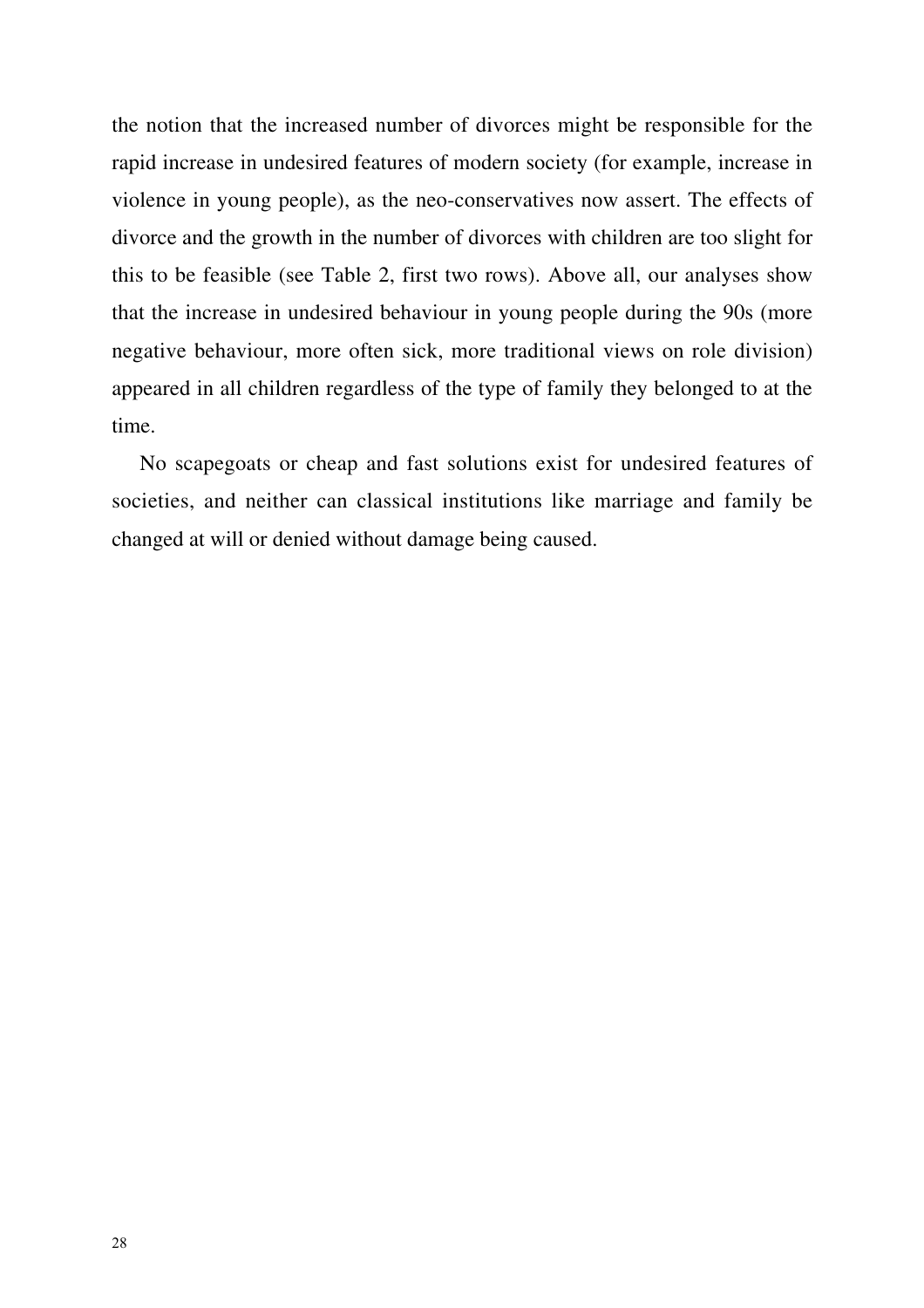the notion that the increased number of divorces might be responsible for the rapid increase in undesired features of modern society (for example, increase in violence in young people), as the neo-conservatives now assert. The effects of divorce and the growth in the number of divorces with children are too slight for this to be feasible (see Table 2, first two rows). Above all, our analyses show that the increase in undesired behaviour in young people during the 90s (more negative behaviour, more often sick, more traditional views on role division) appeared in all children regardless of the type of family they belonged to at the time.

No scapegoats or cheap and fast solutions exist for undesired features of societies, and neither can classical institutions like marriage and family be changed at will or denied without damage being caused.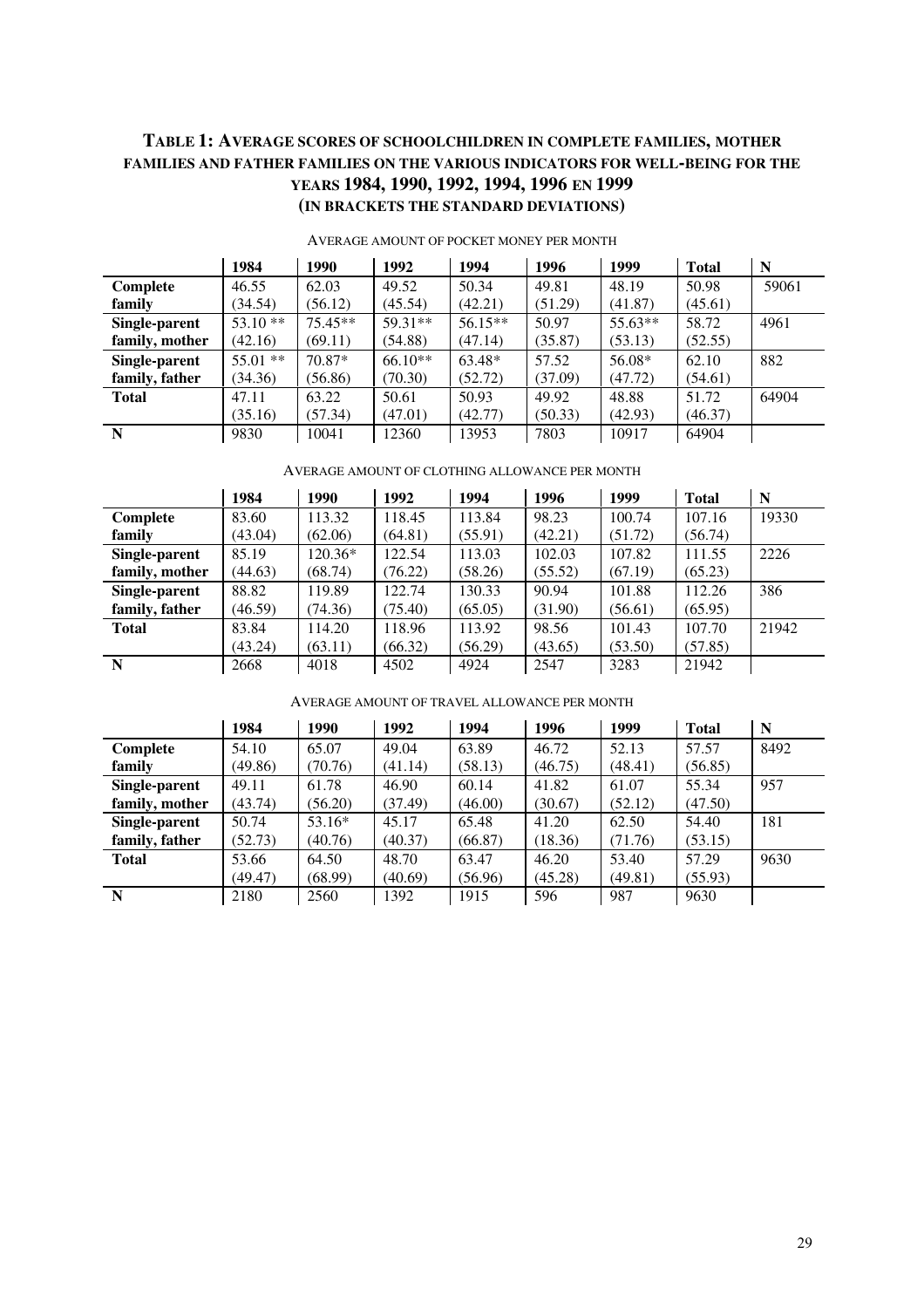#### **TABLE 1: AVERAGE SCORES OF SCHOOLCHILDREN IN COMPLETE FAMILIES, MOTHER FAMILIES AND FATHER FAMILIES ON THE VARIOUS INDICATORS FOR WELL-BEING FOR THE YEARS 1984, 1990, 1992, 1994, 1996 EN 1999 (IN BRACKETS THE STANDARD DEVIATIONS)**

|                | 1984       | 1990      | 1992      | 1994      | 1996    | 1999    | <b>Total</b> | N     |
|----------------|------------|-----------|-----------|-----------|---------|---------|--------------|-------|
| Complete       | 46.55      | 62.03     | 49.52     | 50.34     | 49.81   | 48.19   | 50.98        | 59061 |
| family         | (34.54)    | (56.12)   | (45.54)   | (42.21)   | (51.29) | (41.87) | (45.61)      |       |
| Single-parent  | $53.10**$  | $75.45**$ | 59.31**   | $56.15**$ | 50.97   | 55.63** | 58.72        | 4961  |
| family, mother | (42.16)    | (69.11)   | (54.88)   | (47.14)   | (35.87) | (53.13) | (52.55)      |       |
| Single-parent  | $55.01$ ** | 70.87*    | $66.10**$ | 63.48*    | 57.52   | 56.08*  | 62.10        | 882   |
| family, father | (34.36)    | (56.86)   | (70.30)   | (52.72)   | (37.09) | (47.72) | (54.61)      |       |
| <b>Total</b>   | 47.11      | 63.22     | 50.61     | 50.93     | 49.92   | 48.88   | 51.72        | 64904 |
|                | (35.16)    | (57.34)   | (47.01)   | (42.77)   | (50.33) | (42.93) | (46.37)      |       |
| N              | 9830       | 10041     | 12360     | 13953     | 7803    | 10917   | 64904        |       |

#### AVERAGE AMOUNT OF POCKET MONEY PER MONTH

#### AVERAGE AMOUNT OF CLOTHING ALLOWANCE PER MONTH

|                | 1984    | 1990    | 1992    | 1994    | 1996    | 1999    | <b>Total</b> | N     |
|----------------|---------|---------|---------|---------|---------|---------|--------------|-------|
| Complete       | 83.60   | 113.32  | 118.45  | 113.84  | 98.23   | 100.74  | 107.16       | 19330 |
| family         | (43.04) | (62.06) | (64.81) | (55.91) | (42.21) | (51.72) | (56.74)      |       |
| Single-parent  | 85.19   | 120.36* | 122.54  | 113.03  | 102.03  | 107.82  | 111.55       | 2226  |
| family, mother | (44.63) | (68.74) | (76.22) | (58.26) | (55.52) | (67.19) | (65.23)      |       |
| Single-parent  | 88.82   | 119.89  | 122.74  | 130.33  | 90.94   | 101.88  | 112.26       | 386   |
| family, father | (46.59) | (74.36) | (75.40) | (65.05) | (31.90) | (56.61) | (65.95)      |       |
| <b>Total</b>   | 83.84   | 114.20  | 118.96  | 113.92  | 98.56   | 101.43  | 107.70       | 21942 |
|                | (43.24) | (63.11) | (66.32) | (56.29) | (43.65) | (53.50) | (57.85)      |       |
| N              | 2668    | 4018    | 4502    | 4924    | 2547    | 3283    | 21942        |       |

AVERAGE AMOUNT OF TRAVEL ALLOWANCE PER MONTH

|                | 1984    | 1990     | 1992    | 1994    | 1996    | 1999    | <b>Total</b> | N    |
|----------------|---------|----------|---------|---------|---------|---------|--------------|------|
| Complete       | 54.10   | 65.07    | 49.04   | 63.89   | 46.72   | 52.13   | 57.57        | 8492 |
| family         | (49.86) | (70.76)  | (41.14) | (58.13) | (46.75) | (48.41) | (56.85)      |      |
| Single-parent  | 49.11   | 61.78    | 46.90   | 60.14   | 41.82   | 61.07   | 55.34        | 957  |
| family, mother | (43.74) | (56.20)  | (37.49) | (46.00) | (30.67) | (52.12) | (47.50)      |      |
| Single-parent  | 50.74   | $53.16*$ | 45.17   | 65.48   | 41.20   | 62.50   | 54.40        | 181  |
| family, father | (52.73) | (40.76)  | (40.37) | (66.87) | (18.36) | (71.76) | (53.15)      |      |
| <b>Total</b>   | 53.66   | 64.50    | 48.70   | 63.47   | 46.20   | 53.40   | 57.29        | 9630 |
|                | (49.47) | (68.99)  | (40.69) | (56.96) | (45.28) | (49.81) | (55.93)      |      |
| N              | 2180    | 2560     | 1392    | 1915    | 596     | 987     | 9630         |      |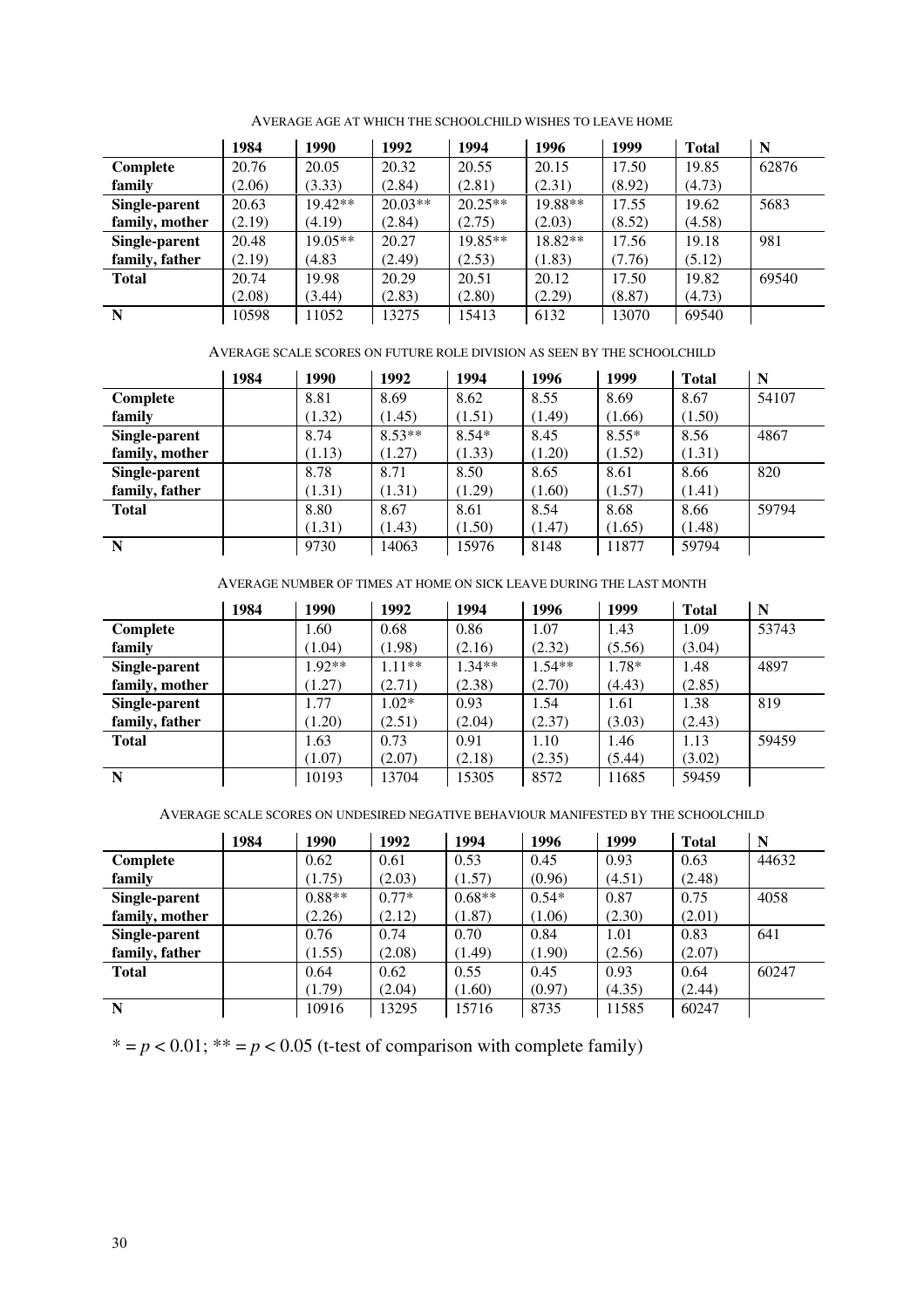|                | 1984   | 1990      | 1992      | 1994      | 1996    | 1999   | <b>Total</b> | N     |
|----------------|--------|-----------|-----------|-----------|---------|--------|--------------|-------|
| Complete       | 20.76  | 20.05     | 20.32     | 20.55     | 20.15   | 17.50  | 19.85        | 62876 |
| family         | (2.06) | (3.33)    | (2.84)    | (2.81)    | (2.31)  | (8.92) | (4.73)       |       |
| Single-parent  | 20.63  | $19.42**$ | $20.03**$ | $20.25**$ | 19.88** | 17.55  | 19.62        | 5683  |
| family, mother | (2.19) | (4.19)    | (2.84)    | (2.75)    | (2.03)  | (8.52) | (4.58)       |       |
| Single-parent  | 20.48  | $19.05**$ | 20.27     | $19.85**$ | 18.82** | 17.56  | 19.18        | 981   |
| family, father | (2.19) | (4.83)    | (2.49)    | (2.53)    | (1.83)  | (7.76) | (5.12)       |       |
| <b>Total</b>   | 20.74  | 19.98     | 20.29     | 20.51     | 20.12   | 17.50  | 19.82        | 69540 |
|                | (2.08) | (3.44)    | (2.83)    | (2.80)    | (2.29)  | (8.87) | (4.73)       |       |
| N              | 10598  | 11052     | 13275     | 15413     | 6132    | 13070  | 69540        |       |

AVERAGE AGE AT WHICH THE SCHOOLCHILD WISHES TO LEAVE HOME

AVERAGE SCALE SCORES ON FUTURE ROLE DIVISION AS SEEN BY THE SCHOOLCHILD

|                | 1984 | 1990   | 1992     | 1994    | 1996   | 1999    | <b>Total</b> | N     |
|----------------|------|--------|----------|---------|--------|---------|--------------|-------|
| Complete       |      | 8.81   | 8.69     | 8.62    | 8.55   | 8.69    | 8.67         | 54107 |
| family         |      | (1.32) | (1.45)   | (1.51)  | (1.49) | (1.66)  | (1.50)       |       |
| Single-parent  |      | 8.74   | $8.53**$ | $8.54*$ | 8.45   | $8.55*$ | 8.56         | 4867  |
| family, mother |      | (1.13) | (1.27)   | (1.33)  | (1.20) | (1.52)  | (1.31)       |       |
| Single-parent  |      | 8.78   | 8.71     | 8.50    | 8.65   | 8.61    | 8.66         | 820   |
| family, father |      | (1.31) | (1.31)   | (1.29)  | (1.60) | (1.57)  | (1.41)       |       |
| <b>Total</b>   |      | 8.80   | 8.67     | 8.61    | 8.54   | 8.68    | 8.66         | 59794 |
|                |      | (1.31) | (1.43)   | (1.50)  | (1.47) | (1.65)  | (1.48)       |       |
| N              |      | 9730   | 14063    | 15976   | 8148   | 11877   | 59794        |       |

AVERAGE NUMBER OF TIMES AT HOME ON SICK LEAVE DURING THE LAST MONTH

|                | 1984 | 1990     | 1992     | 1994     | 1996     | 1999    | <b>Total</b> | N     |
|----------------|------|----------|----------|----------|----------|---------|--------------|-------|
| Complete       |      | 1.60     | 0.68     | 0.86     | 1.07     | 1.43    | 1.09         | 53743 |
| family         |      | (1.04)   | (1.98)   | (2.16)   | (2.32)   | (5.56)  | (3.04)       |       |
| Single-parent  |      | $1.92**$ | $1.11**$ | $1.34**$ | $1.54**$ | $1.78*$ | 1.48         | 4897  |
| family, mother |      | (1.27)   | (2.71)   | (2.38)   | (2.70)   | (4.43)  | (2.85)       |       |
| Single-parent  |      | 1.77     | $1.02*$  | 0.93     | 1.54     | 1.61    | 1.38         | 819   |
| family, father |      | (1.20)   | (2.51)   | (2.04)   | (2.37)   | (3.03)  | (2.43)       |       |
| <b>Total</b>   |      | 1.63     | 0.73     | 0.91     | 1.10     | 1.46    | 1.13         | 59459 |
|                |      | (1.07)   | (2.07)   | (2.18)   | (2.35)   | (5.44)  | (3.02)       |       |
| N              |      | 10193    | 13704    | 15305    | 8572     | 11685   | 59459        |       |

AVERAGE SCALE SCORES ON UNDESIRED NEGATIVE BEHAVIOUR MANIFESTED BY THE SCHOOLCHILD

|                | 1984 | 1990     | 1992    | 1994     | 1996    | 1999   | <b>Total</b> | N     |
|----------------|------|----------|---------|----------|---------|--------|--------------|-------|
| Complete       |      | 0.62     | 0.61    | 0.53     | 0.45    | 0.93   | 0.63         | 44632 |
| family         |      | (1.75)   | (2.03)  | (1.57)   | (0.96)  | (4.51) | (2.48)       |       |
| Single-parent  |      | $0.88**$ | $0.77*$ | $0.68**$ | $0.54*$ | 0.87   | 0.75         | 4058  |
| family, mother |      | (2.26)   | (2.12)  | (1.87)   | (1.06)  | (2.30) | (2.01)       |       |
| Single-parent  |      | 0.76     | 0.74    | 0.70     | 0.84    | 1.01   | 0.83         | 641   |
| family, father |      | (1.55)   | (2.08)  | (1.49)   | (1.90)  | (2.56) | (2.07)       |       |
| <b>Total</b>   |      | 0.64     | 0.62    | 0.55     | 0.45    | 0.93   | 0.64         | 60247 |
|                |      | (1.79)   | (2.04)  | (1.60)   | (0.97)  | (4.35) | (2.44)       |       |
| N              |      | 10916    | 13295   | 15716    | 8735    | 11585  | 60247        |       |

\*  $= p < 0.01$ ; \*\*  $= p < 0.05$  (t-test of comparison with complete family)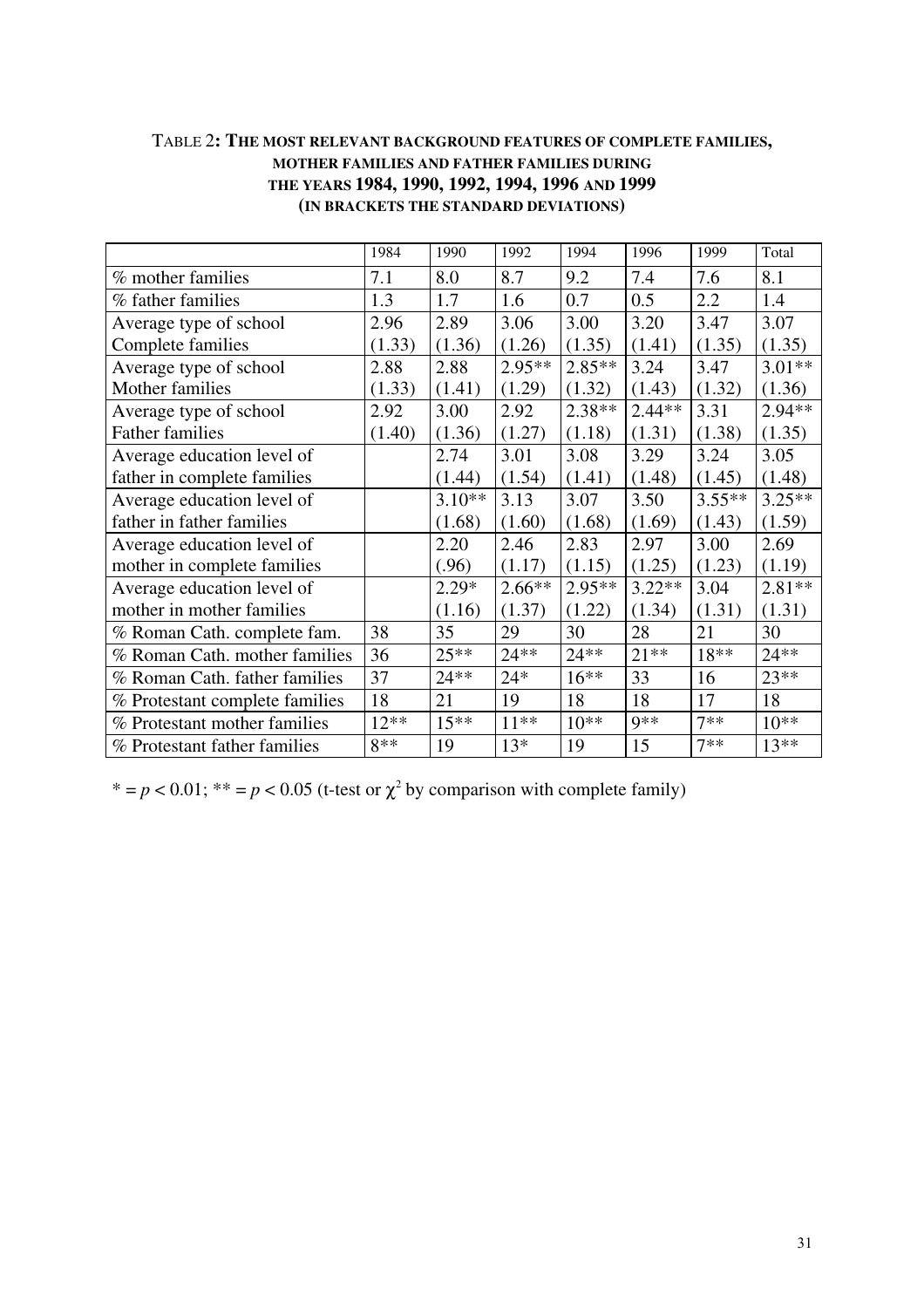#### TABLE 2**: THE MOST RELEVANT BACKGROUND FEATURES OF COMPLETE FAMILIES, MOTHER FAMILIES AND FATHER FAMILIES DURING THE YEARS 1984, 1990, 1992, 1994, 1996 AND 1999 (IN BRACKETS THE STANDARD DEVIATIONS)**

|                                | 1984   | 1990     | 1992     | 1994     | 1996     | 1999     | Total    |
|--------------------------------|--------|----------|----------|----------|----------|----------|----------|
| % mother families              | 7.1    | 8.0      | 8.7      | 9.2      | 7.4      | 7.6      | 8.1      |
| % father families              | 1.3    | 1.7      | 1.6      | 0.7      | 0.5      | 2.2      | 1.4      |
| Average type of school         | 2.96   | 2.89     | 3.06     | 3.00     | 3.20     | 3.47     | 3.07     |
| Complete families              | (1.33) | (1.36)   | (1.26)   | (1.35)   | (1.41)   | (1.35)   | (1.35)   |
| Average type of school         | 2.88   | 2.88     | $2.95**$ | $2.85**$ | 3.24     | 3.47     | $3.01**$ |
| Mother families                | (1.33) | (1.41)   | (1.29)   | (1.32)   | (1.43)   | (1.32)   | (1.36)   |
| Average type of school         | 2.92   | 3.00     | 2.92     | $2.38**$ | $2.44**$ | 3.31     | 2.94**   |
| <b>Father families</b>         | (1.40) | (1.36)   | (1.27)   | (1.18)   | (1.31)   | (1.38)   | (1.35)   |
| Average education level of     |        | 2.74     | 3.01     | 3.08     | 3.29     | 3.24     | 3.05     |
| father in complete families    |        | (1.44)   | (1.54)   | (1.41)   | (1.48)   | (1.45)   | (1.48)   |
| Average education level of     |        | $3.10**$ | 3.13     | 3.07     | 3.50     | $3.55**$ | $3.25**$ |
| father in father families      |        | (1.68)   | (1.60)   | (1.68)   | (1.69)   | (1.43)   | (1.59)   |
| Average education level of     |        | 2.20     | 2.46     | 2.83     | 2.97     | 3.00     | 2.69     |
| mother in complete families    |        | (.96)    | (1.17)   | (1.15)   | (1.25)   | (1.23)   | (1.19)   |
| Average education level of     |        | $2.29*$  | $2.66**$ | $2.95**$ | $3.22**$ | 3.04     | $2.81**$ |
| mother in mother families      |        | (1.16)   | (1.37)   | (1.22)   | (1.34)   | (1.31)   | (1.31)   |
| % Roman Cath. complete fam.    | 38     | 35       | 29       | 30       | 28       | 21       | 30       |
| % Roman Cath. mother families  | 36     | $25**$   | $24**$   | $24**$   | $21**$   | 18**     | $24**$   |
| % Roman Cath. father families  | 37     | 24 **    | $24*$    | $16***$  | 33       | 16       | $23**$   |
| % Protestant complete families | 18     | 21       | 19       | 18       | 18       | 17       | 18       |
| % Protestant mother families   | $12**$ | $15***$  | $11***$  | $10**$   | $9**$    | $7**$    | $10**$   |
| % Protestant father families   | $8**$  | 19       | $13*$    | 19       | 15       | $7**$    | $13**$   |

 $* = p < 0.01$ ;  $** = p < 0.05$  (t-test or  $\chi^2$  by comparison with complete family)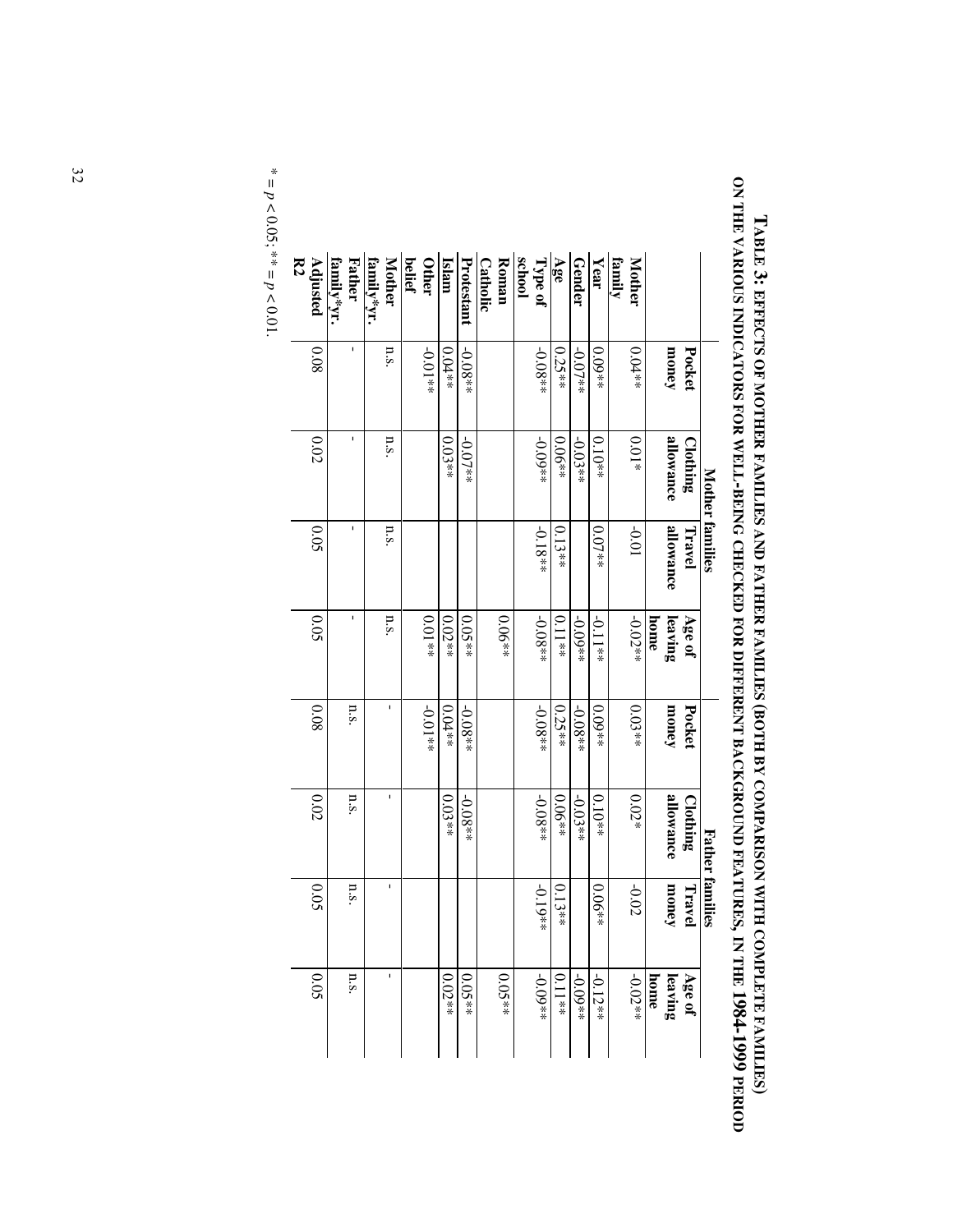|                |           | <b>Mother families</b> |           |           |           |             | <b>Father families</b> |                   |
|----------------|-----------|------------------------|-----------|-----------|-----------|-------------|------------------------|-------------------|
|                | Pocket    | Clothing               | Travel    | Age of    | Pocket    | Clothing    | Travel                 | Age of            |
|                | money     | allowance              | allowance | leaving   | money     | allowance   | money                  | leaving           |
|                |           |                        |           | home      |           |             |                        | home              |
| <b>Mother</b>  | $0.04**$  | $0.01*$                | 10.01     | $-0.02**$ | $0.03**$  | $0.02*$     | $-0.02$                | $-0.02**$         |
| family         |           |                        |           |           |           |             |                        |                   |
| Year           | $0.09**$  | $0.10**$               | $0.07**$  | $-0.11**$ | $0.09**$  | $0.10^{**}$ | $0.06**$               | $-0.12**$         |
| Gender         | $-0.07**$ | $-0.03**$              |           | $-0.09**$ | $-0.08**$ | $-0.03**$   |                        | $-0.09**$         |
| Age            | $0.25**$  | $0.06**$               | $0.13**$  | $0.11**$  | $0.25**$  | $0.06**$    | $0.13**$               | $0.11^{\ast\ast}$ |
| Type of        | $-0.08**$ | $+600 -$               | $-0.18**$ | $-0.08**$ | $-0.08**$ | $-0.08**$   | $-0.19*$<br>¥          | $+60.04*$         |
| school         |           |                        |           |           |           |             |                        |                   |
| Roman          |           |                        |           | $0.06**$  |           |             |                        | $0.05**$          |
| Catholic       |           |                        |           |           |           |             |                        |                   |
| Protestant     | $-0.08**$ | $-0.07**$              |           | $0.05**$  | $-0.08**$ | $-0.08**$   |                        | $0.05**$          |
| Islam          | $0.04**$  | $0.03**$               |           | $0.02**$  | $0.04**$  | $0.03**$    |                        | $0.02**$          |
| Other          | $+0.01**$ |                        |           | $0.01**$  | $+0.01**$ |             |                        |                   |
| <b>belief</b>  |           |                        |           |           |           |             |                        |                   |
| <b>Mother</b>  | n.s       | n.s.                   | n.s.      | n.s.      | ı         | ı           | ı                      | ı                 |
| family*yr.     |           |                        |           |           |           |             |                        |                   |
| <b>Father</b>  | f,        | I.                     | f,        | I.        | n.s.      | n.s.        | n.s.                   | n.s.              |
| family*yr.     |           |                        |           |           |           |             |                        |                   |
| Adjusted       | 80.0      | 0.02                   | 0.05      | 0.05      | 80.0      | 0.02        | 0.05                   | 0.05              |
| $\mathbb{R}^2$ |           |                        |           |           |           |             |                        |                   |

ON THE VARIOUS INDICATORS FOR WELL-BEING CHECKED FOR DIFFERENT BACKGROUND FEATURES, IN THE 1984-1999 PERIOD **ON THE VARIOUS INDICATORS FOR WELL-BEING CHECKED FOR DIFFERENT BACKGROUND FEATURES, IN THE 1984-1999 PERIOD** TABLE 3: EFFECTS OF MOTHER FAMILIES AND FATHER FAMILIES (BOTH BY COMPARISON WITH COMPLETE FAMILIES) **TABLE 3: EFFECTS OF MOTHER FAMILIES AND FATHER FAMILIES (BOTH BY COMPARISON WITH COMPLETE FAMILIES)**

\* = *p* $< 0.05$ ; \*\* = *p*  $0.01$ .

 $\overline{\phantom{a}}$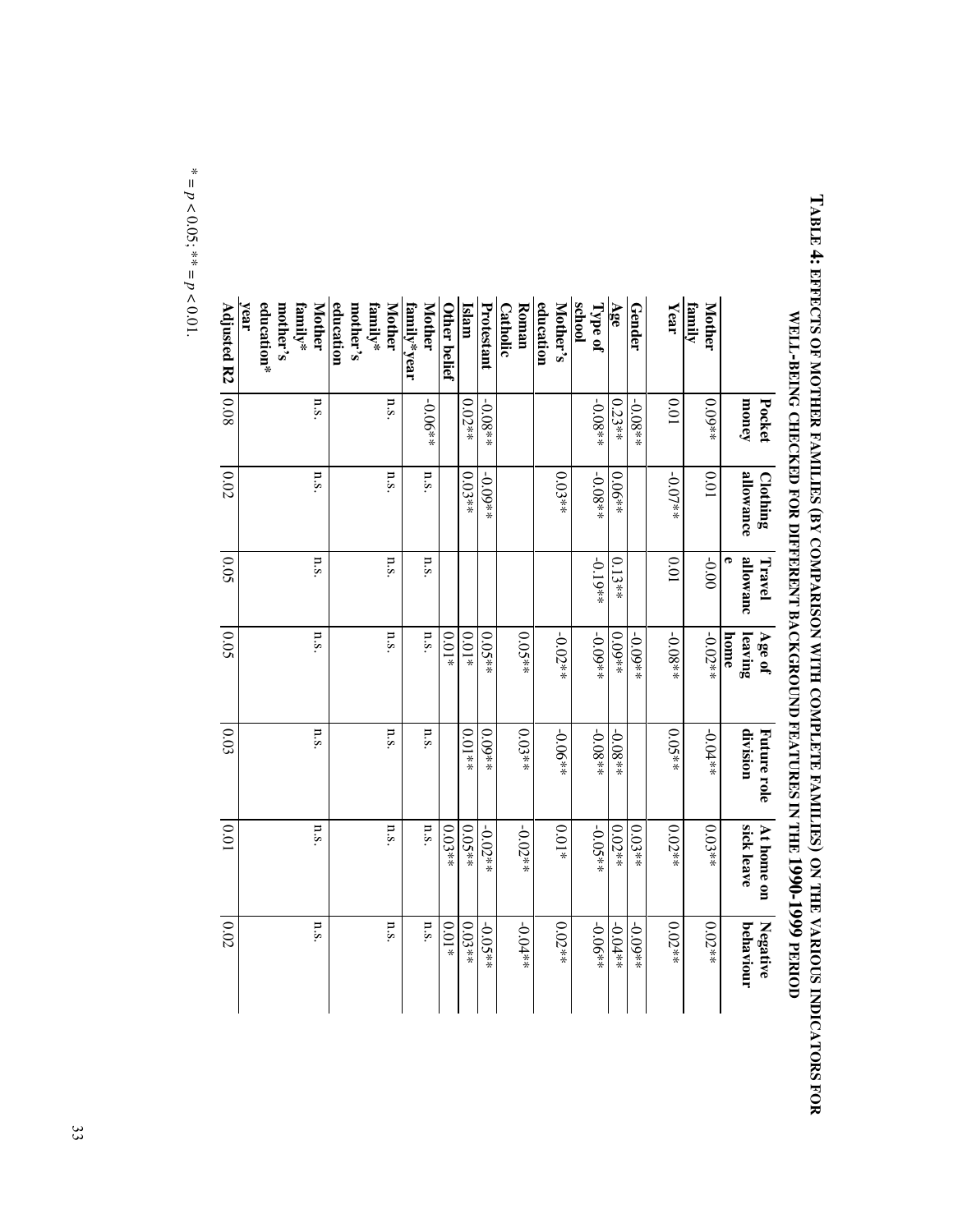|                                      | Pocket    | Clothing  | Travel        | Age of          | Future role | At home on | Negative  |
|--------------------------------------|-----------|-----------|---------------|-----------------|-------------|------------|-----------|
|                                      | money     | allowance | allowanc<br>P | leaving<br>home | division    | sick leave | behaviour |
| family<br><b>Mother</b>              | $0.09**$  | 10.0      | $-0.00$       | $-0.02**$       | $-0.04**$   | $0.03**$   | $0.02**$  |
| Year                                 | 10.0      | $-0.07**$ | 0.01          | $-0.08**$       | $0.05**$    | $0.02**$   | $0.02**$  |
| Gender                               | $-0.08**$ |           |               | $-0.09**$       |             | $0.03**$   | $+0.09**$ |
| Age                                  | $0.23**$  | $0.06**$  | $0.13**$      | $0.09**$        | $-0.08**$   | $0.02**$   | $-0.04**$ |
| school<br>Type of                    | $-0.08**$ | $-0.08**$ | $-0.19**$     | $-0.09**$       | $-0.08**$   | $-0.05**$  | $-0.06**$ |
| Mother's                             |           | $0.03**$  |               | $-0.02**$       | $-0.06**$   | $0.01\ast$ | $0.02**$  |
| education                            |           |           |               |                 |             |            |           |
| <b>Catholic</b><br>Roman             |           |           |               | $0.05**$        | $0.03**$    | $-0.02**$  | $-0.04**$ |
| Protestant                           | $-0.08**$ | $-0.09**$ |               | $0.05**$        | $0.09**$    | $-0.02**$  | $-0.05**$ |
| Islam                                | $0.02**$  | $0.03**$  |               | $0.01*$         | $**10.01$   | $0.05**$   | $0.03**$  |
| Other belief                         |           |           |               | $0.01*$         |             | $0.03**$   | $0.01*$   |
| family*year<br><b>Mother</b>         | $-0.06**$ | n.s.      | n.s.          | n.s.            | n.s.        | n.s.       | n.s       |
| <b>Mother</b><br>family*             | n.s.      | n.s       | n.s.          | n.s.            | n.s.        | n.s.       | n.s       |
| education<br>mother's                |           |           |               |                 |             |            |           |
| <b>Mother</b><br>mother's<br>family* | n.s.      | n.S.      | n.s.          | n.s.            | n.s.        | n.s.       | n.s.      |
| education*<br>year                   |           |           |               |                 |             |            |           |
| Adjusted R2                          | 0.08      | $0.02\,$  | 0.05          | 0.05            | 0.03        | 0.01       | 0.02      |

TABLE : EFFECTS OF MOTHER RAMILIES (BY COMPARISON WITH COMPART RAMILIES) ON THE VARIOUS INDICATORS FOR<br>WELL-BEING CHECKED FOR TERRENT BACKOND FEAT DES THE 1990-1999 PERIOUS FOR SOLL AND STATE 1990-1999 PERIO **TABLE 4: EFFECTS OF MOTHER FAMILIES (BY COMPARISON WITH COMPLETE FAMILIES) ON THE VARIOUS INDICATORS FOR** WELL-BEING CHECKED FOR DIFFERENT BACKGROUND FEATURES IN THE 1990-1999 PERIOD

\* = *p* $< 0.05$ ; \*\* = *p*  $0.01$ .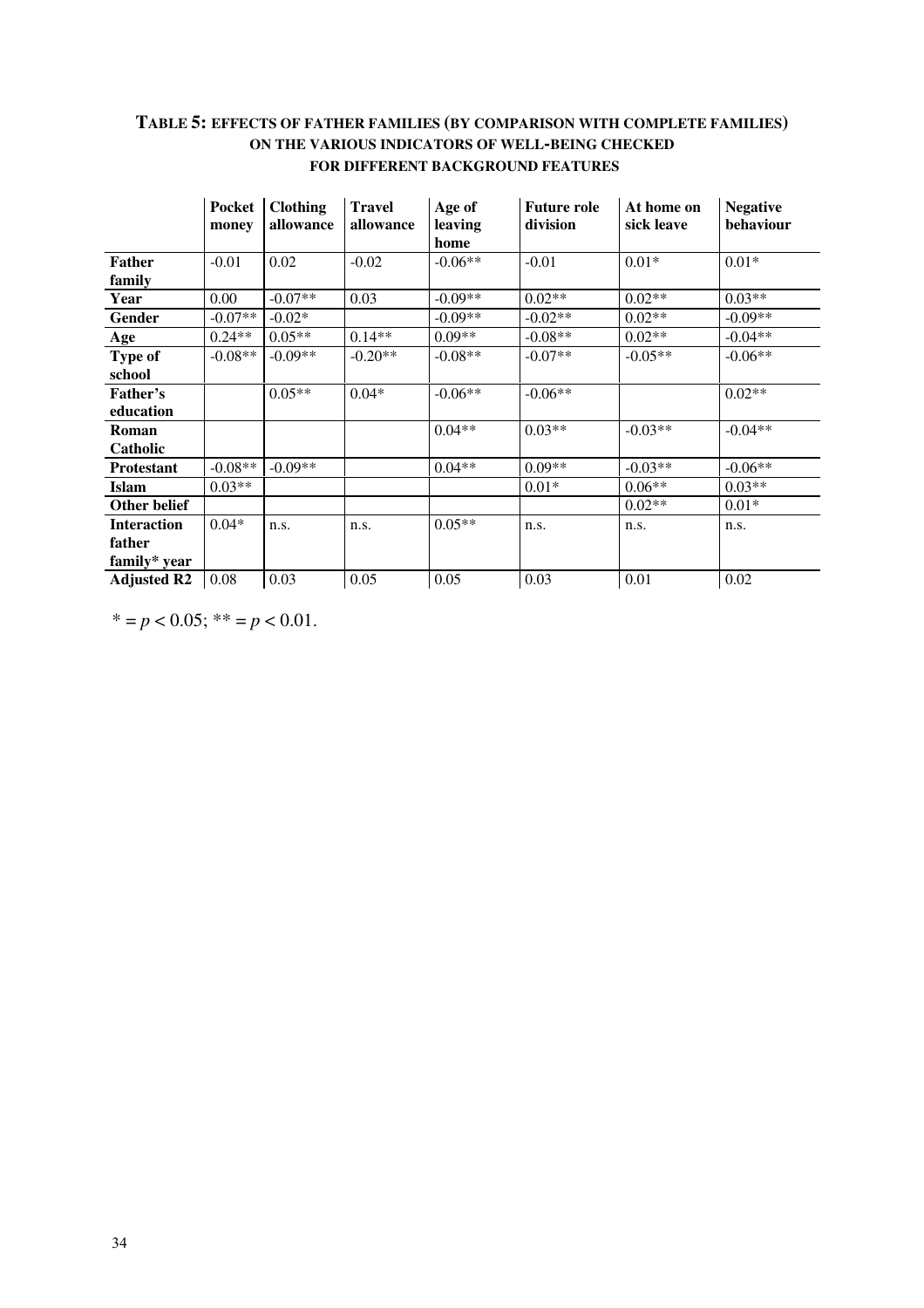#### **TABLE 5: EFFECTS OF FATHER FAMILIES (BY COMPARISON WITH COMPLETE FAMILIES) ON THE VARIOUS INDICATORS OF WELL-BEING CHECKED FOR DIFFERENT BACKGROUND FEATURES**

|                    | Pocket<br>money | <b>Clothing</b><br>allowance | <b>Travel</b><br>allowance | Age of<br>leaving<br>home | <b>Future role</b><br>division | At home on<br>sick leave | <b>Negative</b><br>behaviour |
|--------------------|-----------------|------------------------------|----------------------------|---------------------------|--------------------------------|--------------------------|------------------------------|
| <b>Father</b>      | $-0.01$         | 0.02                         | $-0.02$                    | $-0.06**$                 | $-0.01$                        | $0.01*$                  | $0.01*$                      |
| family             |                 |                              |                            |                           |                                |                          |                              |
| Year               | 0.00            | $-0.07**$                    | 0.03                       | $-0.09**$                 | $0.02**$                       | $0.02**$                 | $0.03**$                     |
| <b>Gender</b>      | $-0.07**$       | $-0.02*$                     |                            | $-0.09**$                 | $-0.02**$                      | $0.02**$                 | $-0.09**$                    |
| <b>Age</b>         | $0.24**$        | $0.05**$                     | $0.14**$                   | $0.09**$                  | $-0.08**$                      | $0.02**$                 | $-0.04**$                    |
| Type of            | $-0.08**$       | $-0.09**$                    | $-0.20**$                  | $-0.08**$                 | $-0.07**$                      | $-0.05**$                | $-0.06**$                    |
| school             |                 |                              |                            |                           |                                |                          |                              |
| Father's           |                 | $0.05**$                     | $0.04*$                    | $-0.06**$                 | $-0.06**$                      |                          | $0.02**$                     |
| education          |                 |                              |                            |                           |                                |                          |                              |
| Roman              |                 |                              |                            | $0.04**$                  | $0.03**$                       | $-0.03**$                | $-0.04**$                    |
| Catholic           |                 |                              |                            |                           |                                |                          |                              |
| <b>Protestant</b>  | $-0.08**$       | $-0.09**$                    |                            | $0.04**$                  | $0.09**$                       | $-0.03**$                | $-0.06**$                    |
| <b>Islam</b>       | $0.03**$        |                              |                            |                           | $0.01*$                        | $0.06**$                 | $0.03**$                     |
| Other belief       |                 |                              |                            |                           |                                | $0.02**$                 | $0.01*$                      |
| <b>Interaction</b> | $0.04*$         | n.s.                         | n.s.                       | $0.05**$                  | n.s.                           | n.s.                     | n.s.                         |
| father             |                 |                              |                            |                           |                                |                          |                              |
| family* year       |                 |                              |                            |                           |                                |                          |                              |
| <b>Adjusted R2</b> | 0.08            | 0.03                         | 0.05                       | 0.05                      | 0.03                           | 0.01                     | 0.02                         |

 $* = p < 0.05$ ;  $** = p < 0.01$ .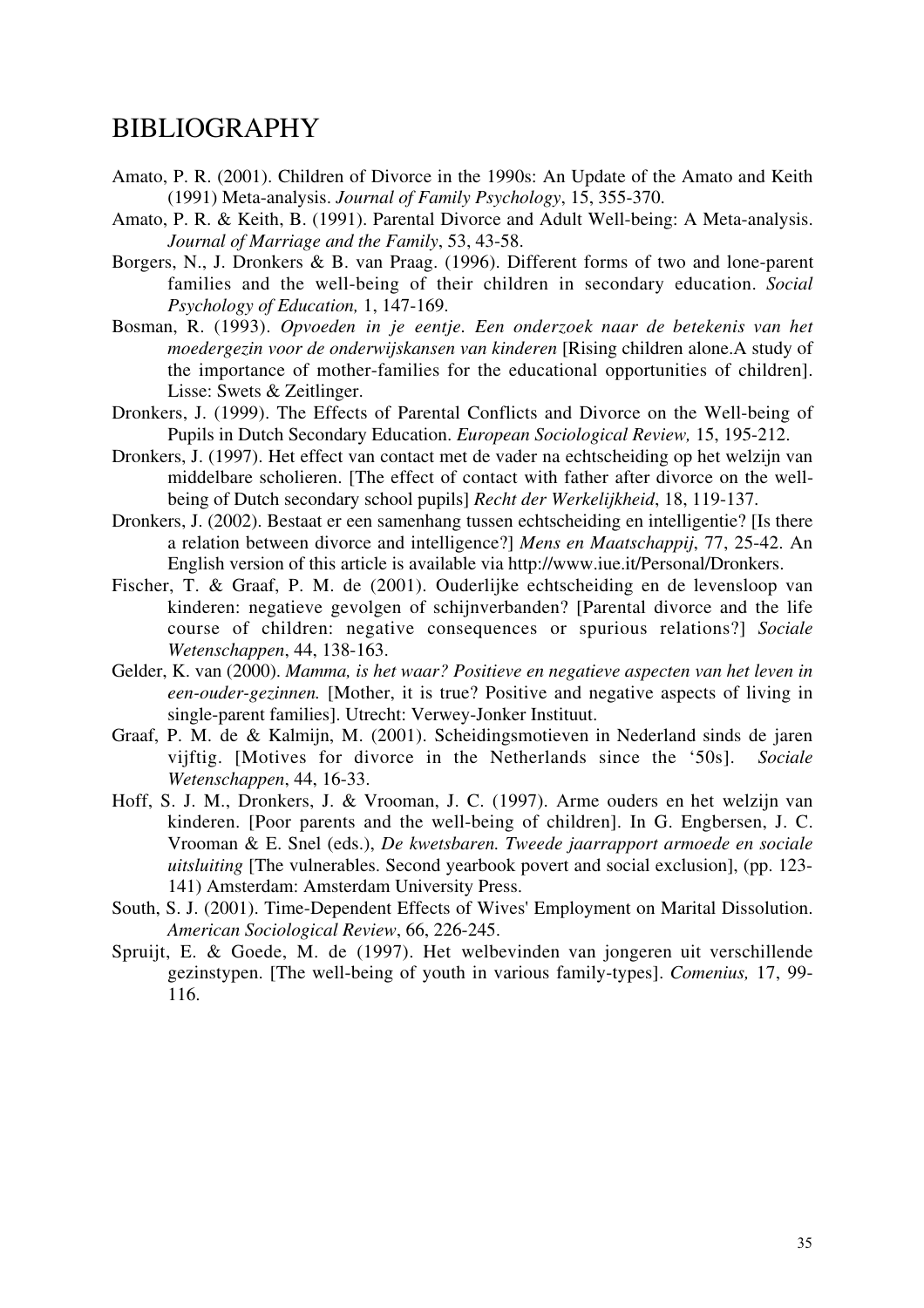### BIBLIOGRAPHY

- Amato, P. R. (2001). Children of Divorce in the 1990s: An Update of the Amato and Keith (1991) Meta-analysis. *Journal of Family Psychology*, 15, 355-370.
- Amato, P. R. & Keith, B. (1991). Parental Divorce and Adult Well-being: A Meta-analysis. *Journal of Marriage and the Family*, 53, 43-58.
- Borgers, N., J. Dronkers & B. van Praag. (1996). Different forms of two and lone-parent families and the well-being of their children in secondary education. *Social Psychology of Education,* 1, 147-169.
- Bosman, R. (1993). *Opvoeden in je eentje. Een onderzoek naar de betekenis van het moedergezin voor de onderwijskansen van kinderen* [Rising children alone.A study of the importance of mother-families for the educational opportunities of children]. Lisse: Swets & Zeitlinger.
- Dronkers, J. (1999). The Effects of Parental Conflicts and Divorce on the Well-being of Pupils in Dutch Secondary Education. *European Sociological Review,* 15, 195-212.
- Dronkers, J. (1997). Het effect van contact met de vader na echtscheiding op het welzijn van middelbare scholieren. [The effect of contact with father after divorce on the wellbeing of Dutch secondary school pupils] *Recht der Werkelijkheid*, 18, 119-137.
- Dronkers, J. (2002). Bestaat er een samenhang tussen echtscheiding en intelligentie? [Is there a relation between divorce and intelligence?] *Mens en Maatschappij*, 77, 25-42. An English version of this article is available via http://www.iue.it/Personal/Dronkers.
- Fischer, T. & Graaf, P. M. de (2001). Ouderlijke echtscheiding en de levensloop van kinderen: negatieve gevolgen of schijnverbanden? [Parental divorce and the life course of children: negative consequences or spurious relations?] *Sociale Wetenschappen*, 44, 138-163.
- Gelder, K. van (2000). *Mamma, is het waar? Positieve en negatieve aspecten van het leven in een-ouder-gezinnen.* [Mother, it is true? Positive and negative aspects of living in single-parent families]. Utrecht: Verwey-Jonker Instituut.
- Graaf, P. M. de & Kalmijn, M. (2001). Scheidingsmotieven in Nederland sinds de jaren vijftig. [Motives for divorce in the Netherlands since the '50s]. *Sociale Wetenschappen*, 44, 16-33.
- Hoff, S. J. M., Dronkers, J. & Vrooman, J. C. (1997). Arme ouders en het welzijn van kinderen. [Poor parents and the well-being of children]. In G. Engbersen, J. C. Vrooman & E. Snel (eds.), *De kwetsbaren. Tweede jaarrapport armoede en sociale uitsluiting* [The vulnerables. Second yearbook povert and social exclusion], (pp. 123- 141) Amsterdam: Amsterdam University Press.
- South, S. J. (2001). Time-Dependent Effects of Wives' Employment on Marital Dissolution. *American Sociological Review*, 66, 226-245.
- Spruijt, E. & Goede, M. de (1997). Het welbevinden van jongeren uit verschillende gezinstypen. [The well-being of youth in various family-types]. *Comenius,* 17, 99- 116.